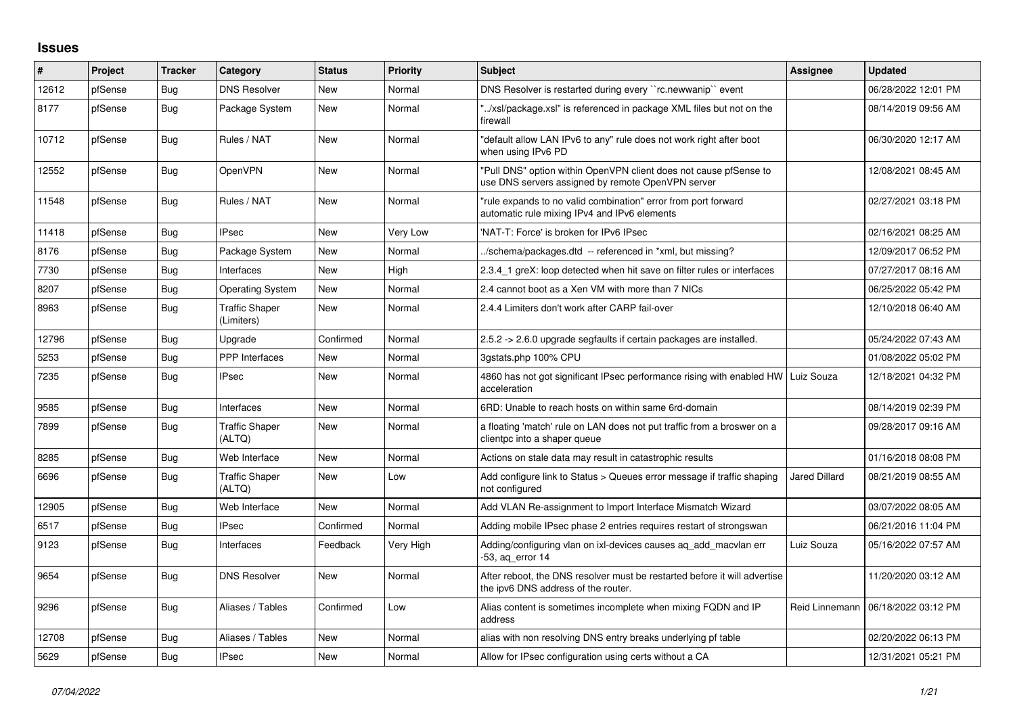## **Issues**

| #     | <b>Project</b> | <b>Tracker</b> | Category                            | <b>Status</b> | <b>Priority</b> | <b>Subject</b>                                                                                                         | Assignee      | <b>Updated</b>                       |
|-------|----------------|----------------|-------------------------------------|---------------|-----------------|------------------------------------------------------------------------------------------------------------------------|---------------|--------------------------------------|
| 12612 | pfSense        | Bug            | <b>DNS Resolver</b>                 | <b>New</b>    | Normal          | DNS Resolver is restarted during every "rc.newwanip" event                                                             |               | 06/28/2022 12:01 PM                  |
| 8177  | pfSense        | Bug            | Package System                      | <b>New</b>    | Normal          | '/xsl/package.xsl" is referenced in package XML files but not on the<br>firewall                                       |               | 08/14/2019 09:56 AM                  |
| 10712 | pfSense        | Bug            | Rules / NAT                         | <b>New</b>    | Normal          | "default allow LAN IPv6 to any" rule does not work right after boot<br>when using IPv6 PD                              |               | 06/30/2020 12:17 AM                  |
| 12552 | pfSense        | Bug            | OpenVPN                             | <b>New</b>    | Normal          | "Pull DNS" option within OpenVPN client does not cause pfSense to<br>use DNS servers assigned by remote OpenVPN server |               | 12/08/2021 08:45 AM                  |
| 11548 | pfSense        | Bug            | Rules / NAT                         | <b>New</b>    | Normal          | "rule expands to no valid combination" error from port forward<br>automatic rule mixing IPv4 and IPv6 elements         |               | 02/27/2021 03:18 PM                  |
| 11418 | pfSense        | Bug            | <b>IPsec</b>                        | <b>New</b>    | <b>Very Low</b> | 'NAT-T: Force' is broken for IPv6 IPsec                                                                                |               | 02/16/2021 08:25 AM                  |
| 8176  | pfSense        | Bug            | Package System                      | <b>New</b>    | Normal          | ./schema/packages.dtd -- referenced in *xml, but missing?                                                              |               | 12/09/2017 06:52 PM                  |
| 7730  | pfSense        | Bug            | Interfaces                          | <b>New</b>    | High            | 2.3.4 1 greX: loop detected when hit save on filter rules or interfaces                                                |               | 07/27/2017 08:16 AM                  |
| 8207  | pfSense        | Bug            | <b>Operating System</b>             | New           | Normal          | 2.4 cannot boot as a Xen VM with more than 7 NICs                                                                      |               | 06/25/2022 05:42 PM                  |
| 8963  | pfSense        | Bug            | <b>Traffic Shaper</b><br>(Limiters) | <b>New</b>    | Normal          | 2.4.4 Limiters don't work after CARP fail-over                                                                         |               | 12/10/2018 06:40 AM                  |
| 12796 | pfSense        | Bug            | Upgrade                             | Confirmed     | Normal          | 2.5.2 -> 2.6.0 upgrade segfaults if certain packages are installed.                                                    |               | 05/24/2022 07:43 AM                  |
| 5253  | pfSense        | Bug            | <b>PPP</b> Interfaces               | <b>New</b>    | Normal          | 3gstats.php 100% CPU                                                                                                   |               | 01/08/2022 05:02 PM                  |
| 7235  | pfSense        | Bug            | <b>IPsec</b>                        | <b>New</b>    | Normal          | 4860 has not got significant IPsec performance rising with enabled HW Luiz Souza<br>acceleration                       |               | 12/18/2021 04:32 PM                  |
| 9585  | pfSense        | Bug            | Interfaces                          | <b>New</b>    | Normal          | 6RD: Unable to reach hosts on within same 6rd-domain                                                                   |               | 08/14/2019 02:39 PM                  |
| 7899  | pfSense        | Bug            | <b>Traffic Shaper</b><br>(ALTQ)     | <b>New</b>    | Normal          | a floating 'match' rule on LAN does not put traffic from a broswer on a<br>clientpc into a shaper queue                |               | 09/28/2017 09:16 AM                  |
| 8285  | pfSense        | Bug            | Web Interface                       | <b>New</b>    | Normal          | Actions on stale data may result in catastrophic results                                                               |               | 01/16/2018 08:08 PM                  |
| 6696  | pfSense        | <b>Bug</b>     | <b>Traffic Shaper</b><br>(ALTQ)     | <b>New</b>    | Low             | Add configure link to Status > Queues error message if traffic shaping<br>not configured                               | Jared Dillard | 08/21/2019 08:55 AM                  |
| 12905 | pfSense        | Bug            | Web Interface                       | <b>New</b>    | Normal          | Add VLAN Re-assignment to Import Interface Mismatch Wizard                                                             |               | 03/07/2022 08:05 AM                  |
| 6517  | pfSense        | Bug            | <b>IPsec</b>                        | Confirmed     | Normal          | Adding mobile IPsec phase 2 entries requires restart of strongswan                                                     |               | 06/21/2016 11:04 PM                  |
| 9123  | pfSense        | Bug            | Interfaces                          | Feedback      | Very High       | Adding/configuring vlan on ixl-devices causes ag add macvlan err<br>-53, ag error 14                                   | Luiz Souza    | 05/16/2022 07:57 AM                  |
| 9654  | pfSense        | Bug            | <b>DNS Resolver</b>                 | <b>New</b>    | Normal          | After reboot, the DNS resolver must be restarted before it will advertise<br>the ipv6 DNS address of the router.       |               | 11/20/2020 03:12 AM                  |
| 9296  | pfSense        | Bug            | Aliases / Tables                    | Confirmed     | Low             | Alias content is sometimes incomplete when mixing FQDN and IP<br>address                                               |               | Reid Linnemann   06/18/2022 03:12 PM |
| 12708 | pfSense        | Bug            | Aliases / Tables                    | <b>New</b>    | Normal          | alias with non resolving DNS entry breaks underlying pf table                                                          |               | 02/20/2022 06:13 PM                  |
| 5629  | pfSense        | Bug            | <b>IPsec</b>                        | <b>New</b>    | Normal          | Allow for IPsec configuration using certs without a CA                                                                 |               | 12/31/2021 05:21 PM                  |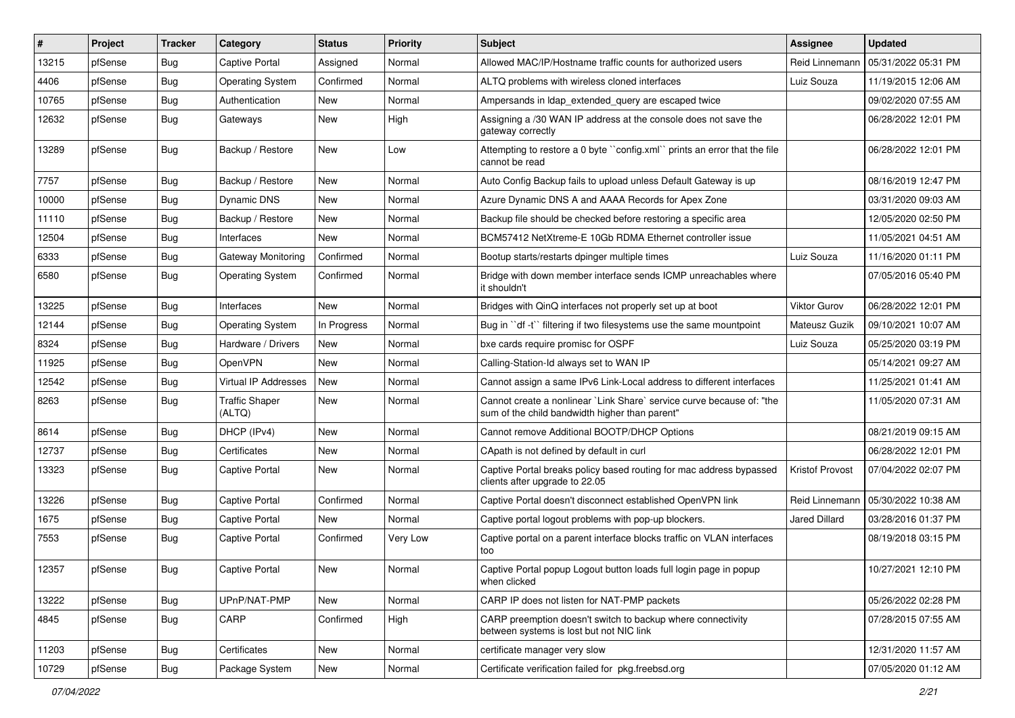| ∦     | Project | <b>Tracker</b> | Category                        | <b>Status</b> | Priority | Subject                                                                                                                 | <b>Assignee</b>      | <b>Updated</b>      |
|-------|---------|----------------|---------------------------------|---------------|----------|-------------------------------------------------------------------------------------------------------------------------|----------------------|---------------------|
| 13215 | pfSense | Bug            | Captive Portal                  | Assigned      | Normal   | Allowed MAC/IP/Hostname traffic counts for authorized users                                                             | Reid Linnemann       | 05/31/2022 05:31 PM |
| 4406  | pfSense | Bug            | <b>Operating System</b>         | Confirmed     | Normal   | ALTQ problems with wireless cloned interfaces                                                                           | Luiz Souza           | 11/19/2015 12:06 AM |
| 10765 | pfSense | Bug            | Authentication                  | New           | Normal   | Ampersands in Idap extended query are escaped twice                                                                     |                      | 09/02/2020 07:55 AM |
| 12632 | pfSense | Bug            | Gateways                        | New           | High     | Assigning a /30 WAN IP address at the console does not save the<br>gateway correctly                                    |                      | 06/28/2022 12:01 PM |
| 13289 | pfSense | Bug            | Backup / Restore                | New           | Low      | Attempting to restore a 0 byte "config.xml" prints an error that the file<br>cannot be read                             |                      | 06/28/2022 12:01 PM |
| 7757  | pfSense | Bug            | Backup / Restore                | <b>New</b>    | Normal   | Auto Config Backup fails to upload unless Default Gateway is up                                                         |                      | 08/16/2019 12:47 PM |
| 10000 | pfSense | <b>Bug</b>     | Dynamic DNS                     | New           | Normal   | Azure Dynamic DNS A and AAAA Records for Apex Zone                                                                      |                      | 03/31/2020 09:03 AM |
| 11110 | pfSense | Bug            | Backup / Restore                | New           | Normal   | Backup file should be checked before restoring a specific area                                                          |                      | 12/05/2020 02:50 PM |
| 12504 | pfSense | Bug            | Interfaces                      | <b>New</b>    | Normal   | BCM57412 NetXtreme-E 10Gb RDMA Ethernet controller issue                                                                |                      | 11/05/2021 04:51 AM |
| 6333  | pfSense | Bug            | Gateway Monitoring              | Confirmed     | Normal   | Bootup starts/restarts dpinger multiple times                                                                           | Luiz Souza           | 11/16/2020 01:11 PM |
| 6580  | pfSense | <b>Bug</b>     | <b>Operating System</b>         | Confirmed     | Normal   | Bridge with down member interface sends ICMP unreachables where<br>it shouldn't                                         |                      | 07/05/2016 05:40 PM |
| 13225 | pfSense | <b>Bug</b>     | Interfaces                      | <b>New</b>    | Normal   | Bridges with QinQ interfaces not properly set up at boot                                                                | <b>Viktor Gurov</b>  | 06/28/2022 12:01 PM |
| 12144 | pfSense | <b>Bug</b>     | <b>Operating System</b>         | In Progress   | Normal   | Bug in "df -t" filtering if two filesystems use the same mountpoint                                                     | Mateusz Guzik        | 09/10/2021 10:07 AM |
| 8324  | pfSense | <b>Bug</b>     | Hardware / Drivers              | New           | Normal   | bxe cards require promisc for OSPF                                                                                      | Luiz Souza           | 05/25/2020 03:19 PM |
| 11925 | pfSense | Bug            | OpenVPN                         | <b>New</b>    | Normal   | Calling-Station-Id always set to WAN IP                                                                                 |                      | 05/14/2021 09:27 AM |
| 12542 | pfSense | Bug            | Virtual IP Addresses            | New           | Normal   | Cannot assign a same IPv6 Link-Local address to different interfaces                                                    |                      | 11/25/2021 01:41 AM |
| 8263  | pfSense | Bug            | <b>Traffic Shaper</b><br>(ALTQ) | New           | Normal   | Cannot create a nonlinear `Link Share` service curve because of: "the<br>sum of the child bandwidth higher than parent" |                      | 11/05/2020 07:31 AM |
| 8614  | pfSense | Bug            | DHCP (IPv4)                     | New           | Normal   | Cannot remove Additional BOOTP/DHCP Options                                                                             |                      | 08/21/2019 09:15 AM |
| 12737 | pfSense | Bug            | Certificates                    | New           | Normal   | CApath is not defined by default in curl                                                                                |                      | 06/28/2022 12:01 PM |
| 13323 | pfSense | <b>Bug</b>     | <b>Captive Portal</b>           | New           | Normal   | Captive Portal breaks policy based routing for mac address bypassed<br>clients after upgrade to 22.05                   | Kristof Provost      | 07/04/2022 02:07 PM |
| 13226 | pfSense | Bug            | <b>Captive Portal</b>           | Confirmed     | Normal   | Captive Portal doesn't disconnect established OpenVPN link                                                              | Reid Linnemann       | 05/30/2022 10:38 AM |
| 1675  | pfSense | Bug            | Captive Portal                  | New           | Normal   | Captive portal logout problems with pop-up blockers.                                                                    | <b>Jared Dillard</b> | 03/28/2016 01:37 PM |
| 7553  | pfSense | Bug            | <b>Captive Portal</b>           | Confirmed     | Very Low | Captive portal on a parent interface blocks traffic on VLAN interfaces<br>too                                           |                      | 08/19/2018 03:15 PM |
| 12357 | pfSense | Bug            | Captive Portal                  | New           | Normal   | Captive Portal popup Logout button loads full login page in popup<br>when clicked                                       |                      | 10/27/2021 12:10 PM |
| 13222 | pfSense | Bug            | UPnP/NAT-PMP                    | New           | Normal   | CARP IP does not listen for NAT-PMP packets                                                                             |                      | 05/26/2022 02:28 PM |
| 4845  | pfSense | Bug            | CARP                            | Confirmed     | High     | CARP preemption doesn't switch to backup where connectivity<br>between systems is lost but not NIC link                 |                      | 07/28/2015 07:55 AM |
| 11203 | pfSense | Bug            | Certificates                    | New           | Normal   | certificate manager very slow                                                                                           |                      | 12/31/2020 11:57 AM |
| 10729 | pfSense | <b>Bug</b>     | Package System                  | New           | Normal   | Certificate verification failed for pkg.freebsd.org                                                                     |                      | 07/05/2020 01:12 AM |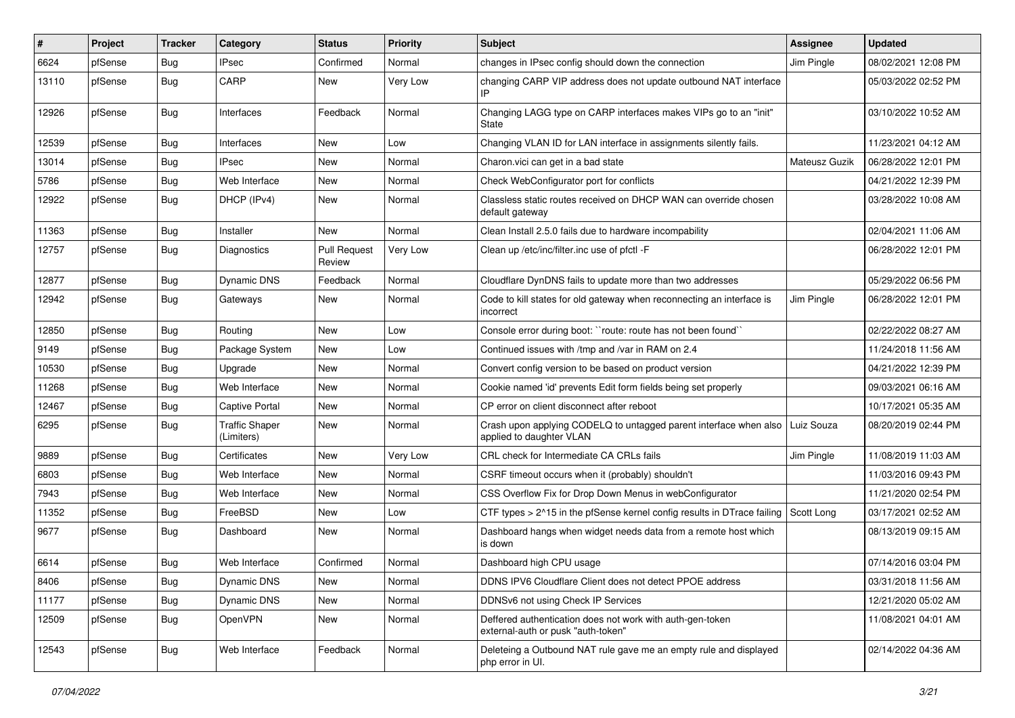| #     | Project | <b>Tracker</b> | Category                            | <b>Status</b>                 | <b>Priority</b> | Subject                                                                                         | <b>Assignee</b> | <b>Updated</b>      |
|-------|---------|----------------|-------------------------------------|-------------------------------|-----------------|-------------------------------------------------------------------------------------------------|-----------------|---------------------|
| 6624  | pfSense | <b>Bug</b>     | <b>IPsec</b>                        | Confirmed                     | Normal          | changes in IPsec config should down the connection                                              | Jim Pingle      | 08/02/2021 12:08 PM |
| 13110 | pfSense | <b>Bug</b>     | CARP                                | <b>New</b>                    | Very Low        | changing CARP VIP address does not update outbound NAT interface<br>IP                          |                 | 05/03/2022 02:52 PM |
| 12926 | pfSense | <b>Bug</b>     | Interfaces                          | Feedback                      | Normal          | Changing LAGG type on CARP interfaces makes VIPs go to an "init"<br>State                       |                 | 03/10/2022 10:52 AM |
| 12539 | pfSense | <b>Bug</b>     | Interfaces                          | <b>New</b>                    | Low             | Changing VLAN ID for LAN interface in assignments silently fails.                               |                 | 11/23/2021 04:12 AM |
| 13014 | pfSense | <b>Bug</b>     | <b>IPsec</b>                        | New                           | Normal          | Charon.vici can get in a bad state                                                              | Mateusz Guzik   | 06/28/2022 12:01 PM |
| 5786  | pfSense | <b>Bug</b>     | Web Interface                       | <b>New</b>                    | Normal          | Check WebConfigurator port for conflicts                                                        |                 | 04/21/2022 12:39 PM |
| 12922 | pfSense | <b>Bug</b>     | DHCP (IPv4)                         | New                           | Normal          | Classless static routes received on DHCP WAN can override chosen<br>default gateway             |                 | 03/28/2022 10:08 AM |
| 11363 | pfSense | <b>Bug</b>     | Installer                           | New                           | Normal          | Clean Install 2.5.0 fails due to hardware incompability                                         |                 | 02/04/2021 11:06 AM |
| 12757 | pfSense | <b>Bug</b>     | Diagnostics                         | <b>Pull Request</b><br>Review | Very Low        | Clean up /etc/inc/filter.inc use of pfctl -F                                                    |                 | 06/28/2022 12:01 PM |
| 12877 | pfSense | <b>Bug</b>     | Dynamic DNS                         | Feedback                      | Normal          | Cloudflare DynDNS fails to update more than two addresses                                       |                 | 05/29/2022 06:56 PM |
| 12942 | pfSense | <b>Bug</b>     | Gateways                            | <b>New</b>                    | Normal          | Code to kill states for old gateway when reconnecting an interface is<br>incorrect              | Jim Pingle      | 06/28/2022 12:01 PM |
| 12850 | pfSense | <b>Bug</b>     | Routing                             | <b>New</b>                    | Low             | Console error during boot: "route: route has not been found"                                    |                 | 02/22/2022 08:27 AM |
| 9149  | pfSense | <b>Bug</b>     | Package System                      | <b>New</b>                    | Low             | Continued issues with /tmp and /var in RAM on 2.4                                               |                 | 11/24/2018 11:56 AM |
| 10530 | pfSense | <b>Bug</b>     | Upgrade                             | <b>New</b>                    | Normal          | Convert config version to be based on product version                                           |                 | 04/21/2022 12:39 PM |
| 11268 | pfSense | <b>Bug</b>     | Web Interface                       | New                           | Normal          | Cookie named 'id' prevents Edit form fields being set properly                                  |                 | 09/03/2021 06:16 AM |
| 12467 | pfSense | <b>Bug</b>     | <b>Captive Portal</b>               | <b>New</b>                    | Normal          | CP error on client disconnect after reboot                                                      |                 | 10/17/2021 05:35 AM |
| 6295  | pfSense | <b>Bug</b>     | <b>Traffic Shaper</b><br>(Limiters) | New                           | Normal          | Crash upon applying CODELQ to untagged parent interface when also<br>applied to daughter VLAN   | Luiz Souza      | 08/20/2019 02:44 PM |
| 9889  | pfSense | <b>Bug</b>     | Certificates                        | <b>New</b>                    | Very Low        | CRL check for Intermediate CA CRLs fails                                                        | Jim Pingle      | 11/08/2019 11:03 AM |
| 6803  | pfSense | <b>Bug</b>     | Web Interface                       | New                           | Normal          | CSRF timeout occurs when it (probably) shouldn't                                                |                 | 11/03/2016 09:43 PM |
| 7943  | pfSense | <b>Bug</b>     | Web Interface                       | <b>New</b>                    | Normal          | CSS Overflow Fix for Drop Down Menus in webConfigurator                                         |                 | 11/21/2020 02:54 PM |
| 11352 | pfSense | Bug            | FreeBSD                             | New                           | Low             | CTF types $> 2^{\wedge}15$ in the pfSense kernel config results in DTrace failing Scott Long    |                 | 03/17/2021 02:52 AM |
| 9677  | pfSense | Bug            | Dashboard                           | New                           | Normal          | Dashboard hangs when widget needs data from a remote host which<br>is down                      |                 | 08/13/2019 09:15 AM |
| 6614  | pfSense | Bug            | Web Interface                       | Confirmed                     | Normal          | Dashboard high CPU usage                                                                        |                 | 07/14/2016 03:04 PM |
| 8406  | pfSense | <b>Bug</b>     | Dynamic DNS                         | New                           | Normal          | DDNS IPV6 Cloudflare Client does not detect PPOE address                                        |                 | 03/31/2018 11:56 AM |
| 11177 | pfSense | <b>Bug</b>     | Dynamic DNS                         | New                           | Normal          | DDNSv6 not using Check IP Services                                                              |                 | 12/21/2020 05:02 AM |
| 12509 | pfSense | <b>Bug</b>     | OpenVPN                             | New                           | Normal          | Deffered authentication does not work with auth-gen-token<br>external-auth or pusk "auth-token" |                 | 11/08/2021 04:01 AM |
| 12543 | pfSense | Bug            | Web Interface                       | Feedback                      | Normal          | Deleteing a Outbound NAT rule gave me an empty rule and displayed<br>php error in UI.           |                 | 02/14/2022 04:36 AM |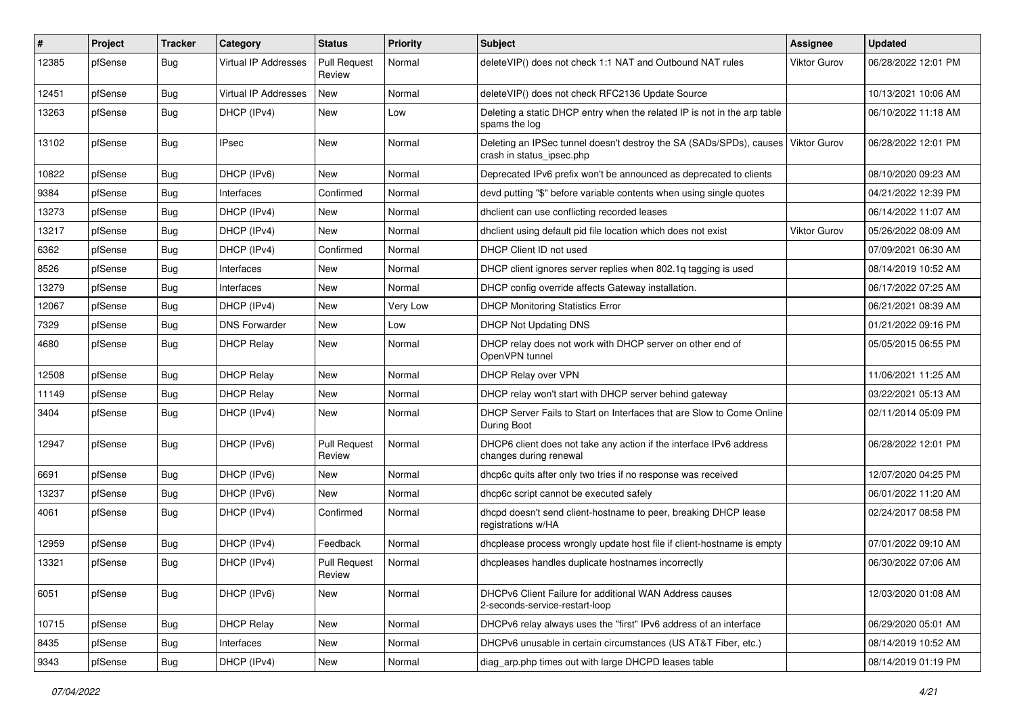| #     | Project | <b>Tracker</b> | Category             | <b>Status</b>                 | <b>Priority</b> | <b>Subject</b>                                                                                   | <b>Assignee</b>     | <b>Updated</b>      |
|-------|---------|----------------|----------------------|-------------------------------|-----------------|--------------------------------------------------------------------------------------------------|---------------------|---------------------|
| 12385 | pfSense | Bug            | Virtual IP Addresses | <b>Pull Request</b><br>Review | Normal          | deleteVIP() does not check 1:1 NAT and Outbound NAT rules                                        | <b>Viktor Gurov</b> | 06/28/2022 12:01 PM |
| 12451 | pfSense | Bug            | Virtual IP Addresses | New                           | Normal          | deleteVIP() does not check RFC2136 Update Source                                                 |                     | 10/13/2021 10:06 AM |
| 13263 | pfSense | <b>Bug</b>     | DHCP (IPv4)          | <b>New</b>                    | Low             | Deleting a static DHCP entry when the related IP is not in the arp table<br>spams the log        |                     | 06/10/2022 11:18 AM |
| 13102 | pfSense | <b>Bug</b>     | <b>IPsec</b>         | <b>New</b>                    | Normal          | Deleting an IPSec tunnel doesn't destroy the SA (SADs/SPDs), causes<br>crash in status_ipsec.php | Viktor Gurov        | 06/28/2022 12:01 PM |
| 10822 | pfSense | Bug            | DHCP (IPv6)          | <b>New</b>                    | Normal          | Deprecated IPv6 prefix won't be announced as deprecated to clients                               |                     | 08/10/2020 09:23 AM |
| 9384  | pfSense | Bug            | Interfaces           | Confirmed                     | Normal          | devd putting "\$" before variable contents when using single quotes                              |                     | 04/21/2022 12:39 PM |
| 13273 | pfSense | Bug            | DHCP (IPv4)          | <b>New</b>                    | Normal          | dhclient can use conflicting recorded leases                                                     |                     | 06/14/2022 11:07 AM |
| 13217 | pfSense | <b>Bug</b>     | DHCP (IPv4)          | New                           | Normal          | dhclient using default pid file location which does not exist                                    | <b>Viktor Gurov</b> | 05/26/2022 08:09 AM |
| 6362  | pfSense | <b>Bug</b>     | DHCP (IPv4)          | Confirmed                     | Normal          | DHCP Client ID not used                                                                          |                     | 07/09/2021 06:30 AM |
| 8526  | pfSense | Bug            | Interfaces           | <b>New</b>                    | Normal          | DHCP client ignores server replies when 802.1q tagging is used                                   |                     | 08/14/2019 10:52 AM |
| 13279 | pfSense | Bug            | Interfaces           | <b>New</b>                    | Normal          | DHCP config override affects Gateway installation.                                               |                     | 06/17/2022 07:25 AM |
| 12067 | pfSense | Bug            | DHCP (IPv4)          | <b>New</b>                    | Very Low        | <b>DHCP Monitoring Statistics Error</b>                                                          |                     | 06/21/2021 08:39 AM |
| 7329  | pfSense | <b>Bug</b>     | <b>DNS Forwarder</b> | <b>New</b>                    | Low             | <b>DHCP Not Updating DNS</b>                                                                     |                     | 01/21/2022 09:16 PM |
| 4680  | pfSense | Bug            | <b>DHCP Relay</b>    | <b>New</b>                    | Normal          | DHCP relay does not work with DHCP server on other end of<br>OpenVPN tunnel                      |                     | 05/05/2015 06:55 PM |
| 12508 | pfSense | <b>Bug</b>     | <b>DHCP Relay</b>    | <b>New</b>                    | Normal          | DHCP Relay over VPN                                                                              |                     | 11/06/2021 11:25 AM |
| 11149 | pfSense | <b>Bug</b>     | <b>DHCP Relay</b>    | <b>New</b>                    | Normal          | DHCP relay won't start with DHCP server behind gateway                                           |                     | 03/22/2021 05:13 AM |
| 3404  | pfSense | Bug            | DHCP (IPv4)          | <b>New</b>                    | Normal          | DHCP Server Fails to Start on Interfaces that are Slow to Come Online<br>During Boot             |                     | 02/11/2014 05:09 PM |
| 12947 | pfSense | Bug            | DHCP (IPv6)          | <b>Pull Request</b><br>Review | Normal          | DHCP6 client does not take any action if the interface IPv6 address<br>changes during renewal    |                     | 06/28/2022 12:01 PM |
| 6691  | pfSense | Bug            | DHCP (IPv6)          | <b>New</b>                    | Normal          | dhcp6c quits after only two tries if no response was received                                    |                     | 12/07/2020 04:25 PM |
| 13237 | pfSense | Bug            | DHCP (IPv6)          | <b>New</b>                    | Normal          | dhcp6c script cannot be executed safely                                                          |                     | 06/01/2022 11:20 AM |
| 4061  | pfSense | Bug            | DHCP (IPv4)          | Confirmed                     | Normal          | dhcpd doesn't send client-hostname to peer, breaking DHCP lease<br>registrations w/HA            |                     | 02/24/2017 08:58 PM |
| 12959 | pfSense | Bug            | DHCP (IPv4)          | Feedback                      | Normal          | dhcplease process wrongly update host file if client-hostname is empty                           |                     | 07/01/2022 09:10 AM |
| 13321 | pfSense | Bug            | DHCP (IPv4)          | <b>Pull Request</b><br>Review | Normal          | dhcpleases handles duplicate hostnames incorrectly                                               |                     | 06/30/2022 07:06 AM |
| 6051  | pfSense | <b>Bug</b>     | DHCP (IPv6)          | New                           | Normal          | DHCPv6 Client Failure for additional WAN Address causes<br>2-seconds-service-restart-loop        |                     | 12/03/2020 01:08 AM |
| 10715 | pfSense | Bug            | <b>DHCP Relay</b>    | New                           | Normal          | DHCPv6 relay always uses the "first" IPv6 address of an interface                                |                     | 06/29/2020 05:01 AM |
| 8435  | pfSense | <b>Bug</b>     | Interfaces           | New                           | Normal          | DHCPv6 unusable in certain circumstances (US AT&T Fiber, etc.)                                   |                     | 08/14/2019 10:52 AM |
| 9343  | pfSense | Bug            | DHCP (IPv4)          | New                           | Normal          | diag_arp.php times out with large DHCPD leases table                                             |                     | 08/14/2019 01:19 PM |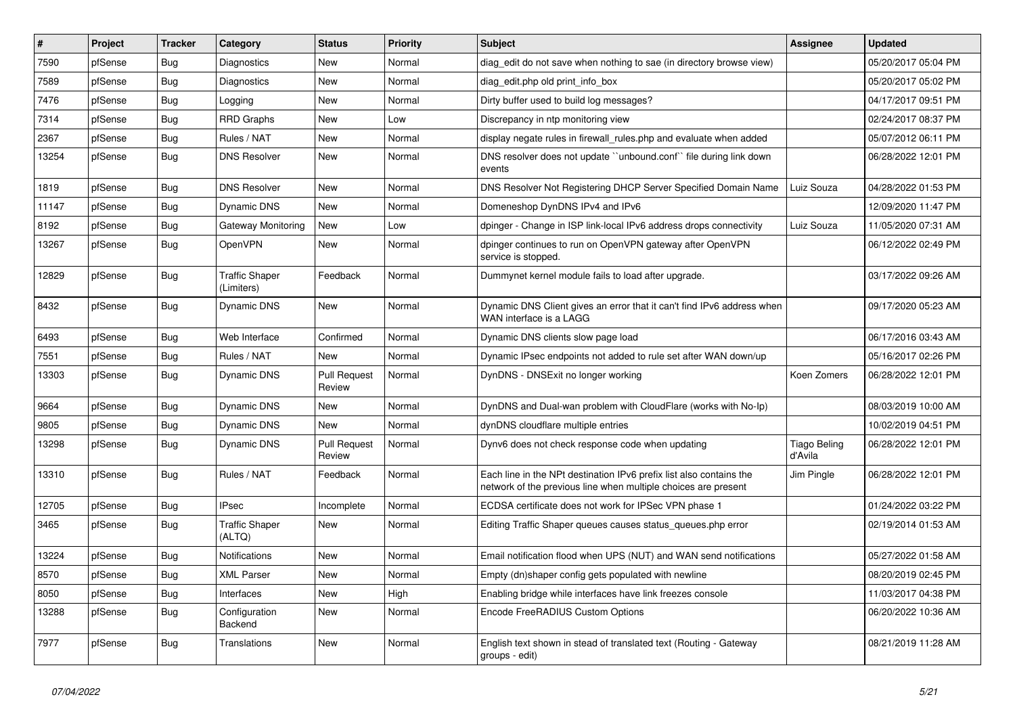| $\sharp$ | Project | <b>Tracker</b> | Category                            | <b>Status</b>                 | <b>Priority</b> | <b>Subject</b>                                                                                                                        | Assignee                       | <b>Updated</b>      |
|----------|---------|----------------|-------------------------------------|-------------------------------|-----------------|---------------------------------------------------------------------------------------------------------------------------------------|--------------------------------|---------------------|
| 7590     | pfSense | Bug            | <b>Diagnostics</b>                  | New                           | Normal          | diag edit do not save when nothing to sae (in directory browse view)                                                                  |                                | 05/20/2017 05:04 PM |
| 7589     | pfSense | <b>Bug</b>     | <b>Diagnostics</b>                  | <b>New</b>                    | Normal          | diag edit.php old print info box                                                                                                      |                                | 05/20/2017 05:02 PM |
| 7476     | pfSense | Bug            | Logging                             | New                           | Normal          | Dirty buffer used to build log messages?                                                                                              |                                | 04/17/2017 09:51 PM |
| 7314     | pfSense | Bug            | <b>RRD Graphs</b>                   | <b>New</b>                    | Low             | Discrepancy in ntp monitoring view                                                                                                    |                                | 02/24/2017 08:37 PM |
| 2367     | pfSense | Bug            | Rules / NAT                         | <b>New</b>                    | Normal          | display negate rules in firewall rules php and evaluate when added                                                                    |                                | 05/07/2012 06:11 PM |
| 13254    | pfSense | Bug            | <b>DNS Resolver</b>                 | <b>New</b>                    | Normal          | DNS resolver does not update "unbound.conf" file during link down<br>events                                                           |                                | 06/28/2022 12:01 PM |
| 1819     | pfSense | Bug            | <b>DNS Resolver</b>                 | <b>New</b>                    | Normal          | DNS Resolver Not Registering DHCP Server Specified Domain Name                                                                        | Luiz Souza                     | 04/28/2022 01:53 PM |
| 11147    | pfSense | Bug            | Dynamic DNS                         | <b>New</b>                    | Normal          | Domeneshop DynDNS IPv4 and IPv6                                                                                                       |                                | 12/09/2020 11:47 PM |
| 8192     | pfSense | <b>Bug</b>     | Gateway Monitoring                  | <b>New</b>                    | Low             | dpinger - Change in ISP link-local IPv6 address drops connectivity                                                                    | Luiz Souza                     | 11/05/2020 07:31 AM |
| 13267    | pfSense | <b>Bug</b>     | OpenVPN                             | <b>New</b>                    | Normal          | dpinger continues to run on OpenVPN gateway after OpenVPN<br>service is stopped.                                                      |                                | 06/12/2022 02:49 PM |
| 12829    | pfSense | <b>Bug</b>     | <b>Traffic Shaper</b><br>(Limiters) | Feedback                      | Normal          | Dummynet kernel module fails to load after upgrade.                                                                                   |                                | 03/17/2022 09:26 AM |
| 8432     | pfSense | Bug            | Dynamic DNS                         | <b>New</b>                    | Normal          | Dynamic DNS Client gives an error that it can't find IPv6 address when<br>WAN interface is a LAGG                                     |                                | 09/17/2020 05:23 AM |
| 6493     | pfSense | Bug            | Web Interface                       | Confirmed                     | Normal          | Dynamic DNS clients slow page load                                                                                                    |                                | 06/17/2016 03:43 AM |
| 7551     | pfSense | <b>Bug</b>     | Rules / NAT                         | <b>New</b>                    | Normal          | Dynamic IPsec endpoints not added to rule set after WAN down/up                                                                       |                                | 05/16/2017 02:26 PM |
| 13303    | pfSense | Bug            | Dynamic DNS                         | <b>Pull Request</b><br>Review | Normal          | DynDNS - DNSExit no longer working                                                                                                    | Koen Zomers                    | 06/28/2022 12:01 PM |
| 9664     | pfSense | Bug            | Dynamic DNS                         | <b>New</b>                    | Normal          | DynDNS and Dual-wan problem with CloudFlare (works with No-Ip)                                                                        |                                | 08/03/2019 10:00 AM |
| 9805     | pfSense | <b>Bug</b>     | Dynamic DNS                         | New                           | Normal          | dynDNS cloudflare multiple entries                                                                                                    |                                | 10/02/2019 04:51 PM |
| 13298    | pfSense | Bug            | Dynamic DNS                         | <b>Pull Request</b><br>Review | Normal          | Dynv6 does not check response code when updating                                                                                      | <b>Tiago Beling</b><br>d'Avila | 06/28/2022 12:01 PM |
| 13310    | pfSense | Bug            | Rules / NAT                         | Feedback                      | Normal          | Each line in the NPt destination IPv6 prefix list also contains the<br>network of the previous line when multiple choices are present | Jim Pingle                     | 06/28/2022 12:01 PM |
| 12705    | pfSense | Bug            | <b>IPsec</b>                        | Incomplete                    | Normal          | ECDSA certificate does not work for IPSec VPN phase 1                                                                                 |                                | 01/24/2022 03:22 PM |
| 3465     | pfSense | Bug            | <b>Traffic Shaper</b><br>(ALTQ)     | <b>New</b>                    | Normal          | Editing Traffic Shaper queues causes status_queues.php error                                                                          |                                | 02/19/2014 01:53 AM |
| 13224    | pfSense | Bug            | <b>Notifications</b>                | New                           | Normal          | Email notification flood when UPS (NUT) and WAN send notifications                                                                    |                                | 05/27/2022 01:58 AM |
| 8570     | pfSense | Bug            | <b>XML Parser</b>                   | <b>New</b>                    | Normal          | Empty (dn)shaper config gets populated with newline                                                                                   |                                | 08/20/2019 02:45 PM |
| 8050     | pfSense | Bug            | Interfaces                          | New                           | High            | Enabling bridge while interfaces have link freezes console                                                                            |                                | 11/03/2017 04:38 PM |
| 13288    | pfSense | Bug            | Configuration<br>Backend            | <b>New</b>                    | Normal          | Encode FreeRADIUS Custom Options                                                                                                      |                                | 06/20/2022 10:36 AM |
| 7977     | pfSense | <b>Bug</b>     | Translations                        | <b>New</b>                    | Normal          | English text shown in stead of translated text (Routing - Gateway<br>groups - edit)                                                   |                                | 08/21/2019 11:28 AM |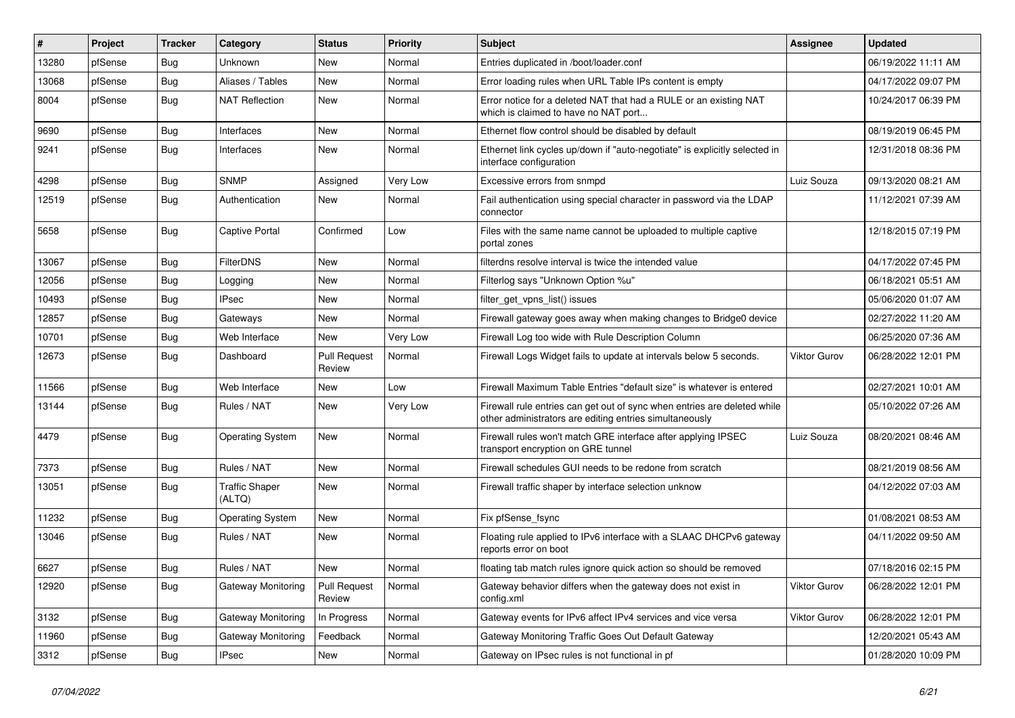| #     | Project | <b>Tracker</b> | Category                        | <b>Status</b>                 | <b>Priority</b> | <b>Subject</b>                                                                                                                      | <b>Assignee</b> | <b>Updated</b>      |
|-------|---------|----------------|---------------------------------|-------------------------------|-----------------|-------------------------------------------------------------------------------------------------------------------------------------|-----------------|---------------------|
| 13280 | pfSense | Bug            | Unknown                         | New                           | Normal          | Entries duplicated in /boot/loader.conf                                                                                             |                 | 06/19/2022 11:11 AM |
| 13068 | pfSense | Bug            | Aliases / Tables                | <b>New</b>                    | Normal          | Error loading rules when URL Table IPs content is empty                                                                             |                 | 04/17/2022 09:07 PM |
| 8004  | pfSense | <b>Bug</b>     | <b>NAT Reflection</b>           | New                           | Normal          | Error notice for a deleted NAT that had a RULE or an existing NAT<br>which is claimed to have no NAT port                           |                 | 10/24/2017 06:39 PM |
| 9690  | pfSense | <b>Bug</b>     | Interfaces                      | <b>New</b>                    | Normal          | Ethernet flow control should be disabled by default                                                                                 |                 | 08/19/2019 06:45 PM |
| 9241  | pfSense | Bug            | Interfaces                      | <b>New</b>                    | Normal          | Ethernet link cycles up/down if "auto-negotiate" is explicitly selected in<br>interface configuration                               |                 | 12/31/2018 08:36 PM |
| 4298  | pfSense | Bug            | <b>SNMP</b>                     | Assigned                      | Very Low        | Excessive errors from snmpd                                                                                                         | Luiz Souza      | 09/13/2020 08:21 AM |
| 12519 | pfSense | Bug            | Authentication                  | New                           | Normal          | Fail authentication using special character in password via the LDAP<br>connector                                                   |                 | 11/12/2021 07:39 AM |
| 5658  | pfSense | <b>Bug</b>     | <b>Captive Portal</b>           | Confirmed                     | Low             | Files with the same name cannot be uploaded to multiple captive<br>portal zones                                                     |                 | 12/18/2015 07:19 PM |
| 13067 | pfSense | <b>Bug</b>     | FilterDNS                       | New                           | Normal          | filterdns resolve interval is twice the intended value                                                                              |                 | 04/17/2022 07:45 PM |
| 12056 | pfSense | <b>Bug</b>     | Logging                         | New                           | Normal          | Filterlog says "Unknown Option %u"                                                                                                  |                 | 06/18/2021 05:51 AM |
| 10493 | pfSense | <b>Bug</b>     | <b>IPsec</b>                    | New                           | Normal          | filter_get_vpns_list() issues                                                                                                       |                 | 05/06/2020 01:07 AM |
| 12857 | pfSense | Bug            | Gateways                        | <b>New</b>                    | Normal          | Firewall gateway goes away when making changes to Bridge0 device                                                                    |                 | 02/27/2022 11:20 AM |
| 10701 | pfSense | <b>Bug</b>     | Web Interface                   | New                           | Very Low        | Firewall Log too wide with Rule Description Column                                                                                  |                 | 06/25/2020 07:36 AM |
| 12673 | pfSense | <b>Bug</b>     | Dashboard                       | <b>Pull Request</b><br>Review | Normal          | Firewall Logs Widget fails to update at intervals below 5 seconds.                                                                  | Viktor Gurov    | 06/28/2022 12:01 PM |
| 11566 | pfSense | <b>Bug</b>     | Web Interface                   | <b>New</b>                    | Low             | Firewall Maximum Table Entries "default size" is whatever is entered                                                                |                 | 02/27/2021 10:01 AM |
| 13144 | pfSense | <b>Bug</b>     | Rules / NAT                     | <b>New</b>                    | Very Low        | Firewall rule entries can get out of sync when entries are deleted while<br>other administrators are editing entries simultaneously |                 | 05/10/2022 07:26 AM |
| 4479  | pfSense | <b>Bug</b>     | <b>Operating System</b>         | New                           | Normal          | Firewall rules won't match GRE interface after applying IPSEC<br>transport encryption on GRE tunnel                                 | Luiz Souza      | 08/20/2021 08:46 AM |
| 7373  | pfSense | <b>Bug</b>     | Rules / NAT                     | <b>New</b>                    | Normal          | Firewall schedules GUI needs to be redone from scratch                                                                              |                 | 08/21/2019 08:56 AM |
| 13051 | pfSense | <b>Bug</b>     | <b>Traffic Shaper</b><br>(ALTQ) | <b>New</b>                    | Normal          | Firewall traffic shaper by interface selection unknow                                                                               |                 | 04/12/2022 07:03 AM |
| 11232 | pfSense | <b>Bug</b>     | <b>Operating System</b>         | New                           | Normal          | Fix pfSense_fsync                                                                                                                   |                 | 01/08/2021 08:53 AM |
| 13046 | pfSense | <b>Bug</b>     | Rules / NAT                     | <b>New</b>                    | Normal          | Floating rule applied to IPv6 interface with a SLAAC DHCPv6 gateway<br>reports error on boot                                        |                 | 04/11/2022 09:50 AM |
| 6627  | pfSense | Bug            | Rules / NAT                     | <b>New</b>                    | Normal          | floating tab match rules ignore quick action so should be removed                                                                   |                 | 07/18/2016 02:15 PM |
| 12920 | pfSense | <b>Bug</b>     | <b>Gateway Monitoring</b>       | <b>Pull Request</b><br>Review | Normal          | Gateway behavior differs when the gateway does not exist in<br>config.xml                                                           | Viktor Gurov    | 06/28/2022 12:01 PM |
| 3132  | pfSense | <b>Bug</b>     | Gateway Monitoring              | In Progress                   | Normal          | Gateway events for IPv6 affect IPv4 services and vice versa                                                                         | Viktor Gurov    | 06/28/2022 12:01 PM |
| 11960 | pfSense | <b>Bug</b>     | <b>Gateway Monitoring</b>       | Feedback                      | Normal          | Gateway Monitoring Traffic Goes Out Default Gateway                                                                                 |                 | 12/20/2021 05:43 AM |
| 3312  | pfSense | Bug            | <b>IPsec</b>                    | New                           | Normal          | Gateway on IPsec rules is not functional in pf                                                                                      |                 | 01/28/2020 10:09 PM |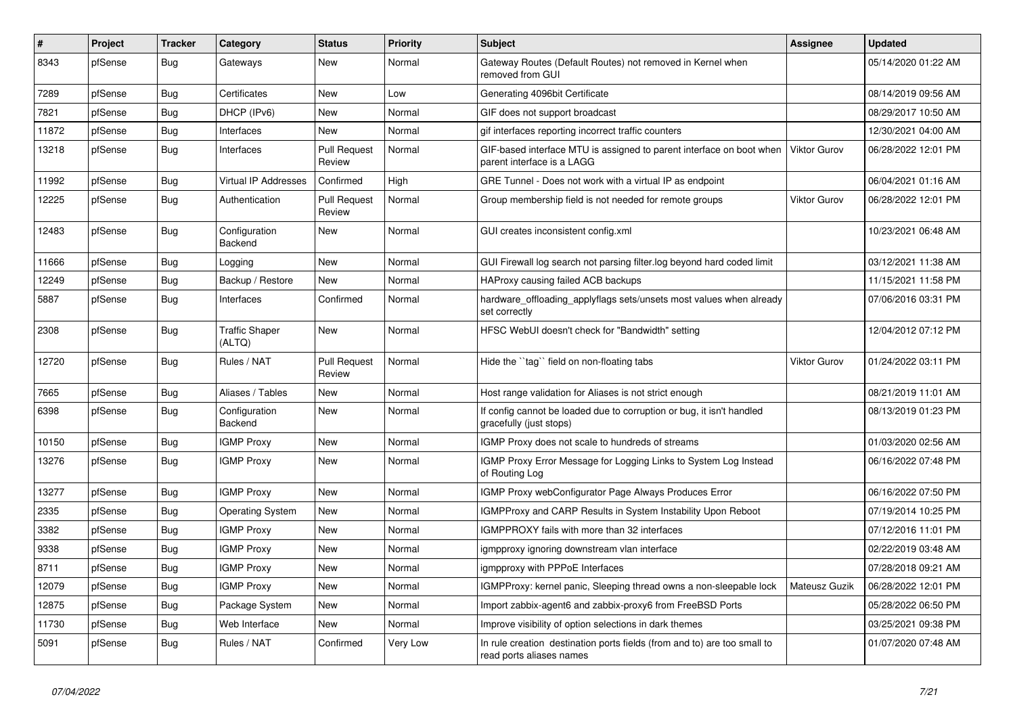| #     | Project | <b>Tracker</b> | Category                        | <b>Status</b>                 | <b>Priority</b> | <b>Subject</b>                                                                                       | <b>Assignee</b>     | <b>Updated</b>      |
|-------|---------|----------------|---------------------------------|-------------------------------|-----------------|------------------------------------------------------------------------------------------------------|---------------------|---------------------|
| 8343  | pfSense | Bug            | Gateways                        | <b>New</b>                    | Normal          | Gateway Routes (Default Routes) not removed in Kernel when<br>removed from GUI                       |                     | 05/14/2020 01:22 AM |
| 7289  | pfSense | Bug            | Certificates                    | <b>New</b>                    | Low             | Generating 4096bit Certificate                                                                       |                     | 08/14/2019 09:56 AM |
| 7821  | pfSense | Bug            | DHCP (IPv6)                     | <b>New</b>                    | Normal          | GIF does not support broadcast                                                                       |                     | 08/29/2017 10:50 AM |
| 11872 | pfSense | <b>Bug</b>     | Interfaces                      | <b>New</b>                    | Normal          | gif interfaces reporting incorrect traffic counters                                                  |                     | 12/30/2021 04:00 AM |
| 13218 | pfSense | <b>Bug</b>     | Interfaces                      | <b>Pull Request</b><br>Review | Normal          | GIF-based interface MTU is assigned to parent interface on boot when<br>parent interface is a LAGG   | <b>Viktor Gurov</b> | 06/28/2022 12:01 PM |
| 11992 | pfSense | <b>Bug</b>     | <b>Virtual IP Addresses</b>     | Confirmed                     | High            | GRE Tunnel - Does not work with a virtual IP as endpoint                                             |                     | 06/04/2021 01:16 AM |
| 12225 | pfSense | <b>Bug</b>     | Authentication                  | <b>Pull Request</b><br>Review | Normal          | Group membership field is not needed for remote groups                                               | <b>Viktor Gurov</b> | 06/28/2022 12:01 PM |
| 12483 | pfSense | Bug            | Configuration<br>Backend        | <b>New</b>                    | Normal          | GUI creates inconsistent config.xml                                                                  |                     | 10/23/2021 06:48 AM |
| 11666 | pfSense | <b>Bug</b>     | Logging                         | <b>New</b>                    | Normal          | GUI Firewall log search not parsing filter.log beyond hard coded limit                               |                     | 03/12/2021 11:38 AM |
| 12249 | pfSense | <b>Bug</b>     | Backup / Restore                | <b>New</b>                    | Normal          | HAProxy causing failed ACB backups                                                                   |                     | 11/15/2021 11:58 PM |
| 5887  | pfSense | <b>Bug</b>     | Interfaces                      | Confirmed                     | Normal          | hardware offloading applyflags sets/unsets most values when already<br>set correctly                 |                     | 07/06/2016 03:31 PM |
| 2308  | pfSense | Bug            | <b>Traffic Shaper</b><br>(ALTQ) | <b>New</b>                    | Normal          | HFSC WebUI doesn't check for "Bandwidth" setting                                                     |                     | 12/04/2012 07:12 PM |
| 12720 | pfSense | Bug            | Rules / NAT                     | <b>Pull Request</b><br>Review | Normal          | Hide the "tag" field on non-floating tabs                                                            | Viktor Gurov        | 01/24/2022 03:11 PM |
| 7665  | pfSense | Bug            | Aliases / Tables                | <b>New</b>                    | Normal          | Host range validation for Aliases is not strict enough                                               |                     | 08/21/2019 11:01 AM |
| 6398  | pfSense | <b>Bug</b>     | Configuration<br><b>Backend</b> | <b>New</b>                    | Normal          | If config cannot be loaded due to corruption or bug, it isn't handled<br>gracefully (just stops)     |                     | 08/13/2019 01:23 PM |
| 10150 | pfSense | <b>Bug</b>     | <b>IGMP Proxy</b>               | <b>New</b>                    | Normal          | IGMP Proxy does not scale to hundreds of streams                                                     |                     | 01/03/2020 02:56 AM |
| 13276 | pfSense | Bug            | <b>IGMP Proxy</b>               | <b>New</b>                    | Normal          | IGMP Proxy Error Message for Logging Links to System Log Instead<br>of Routing Log                   |                     | 06/16/2022 07:48 PM |
| 13277 | pfSense | <b>Bug</b>     | <b>IGMP Proxy</b>               | <b>New</b>                    | Normal          | IGMP Proxy webConfigurator Page Always Produces Error                                                |                     | 06/16/2022 07:50 PM |
| 2335  | pfSense | <b>Bug</b>     | <b>Operating System</b>         | <b>New</b>                    | Normal          | <b>IGMPProxy and CARP Results in System Instability Upon Reboot</b>                                  |                     | 07/19/2014 10:25 PM |
| 3382  | pfSense | <b>Bug</b>     | <b>IGMP Proxy</b>               | New                           | Normal          | IGMPPROXY fails with more than 32 interfaces                                                         |                     | 07/12/2016 11:01 PM |
| 9338  | pfSense | Bug            | <b>IGMP Proxy</b>               | <b>New</b>                    | Normal          | igmpproxy ignoring downstream vlan interface                                                         |                     | 02/22/2019 03:48 AM |
| 8711  | pfSense | <b>Bug</b>     | <b>IGMP Proxy</b>               | <b>New</b>                    | Normal          | igmpproxy with PPPoE Interfaces                                                                      |                     | 07/28/2018 09:21 AM |
| 12079 | pfSense | Bug            | <b>IGMP Proxy</b>               | <b>New</b>                    | Normal          | IGMPProxy: kernel panic, Sleeping thread owns a non-sleepable lock                                   | Mateusz Guzik       | 06/28/2022 12:01 PM |
| 12875 | pfSense | <b>Bug</b>     | Package System                  | <b>New</b>                    | Normal          | Import zabbix-agent6 and zabbix-proxy6 from FreeBSD Ports                                            |                     | 05/28/2022 06:50 PM |
| 11730 | pfSense | <b>Bug</b>     | Web Interface                   | <b>New</b>                    | Normal          | Improve visibility of option selections in dark themes                                               |                     | 03/25/2021 09:38 PM |
| 5091  | pfSense | Bug            | Rules / NAT                     | Confirmed                     | Very Low        | In rule creation destination ports fields (from and to) are too small to<br>read ports aliases names |                     | 01/07/2020 07:48 AM |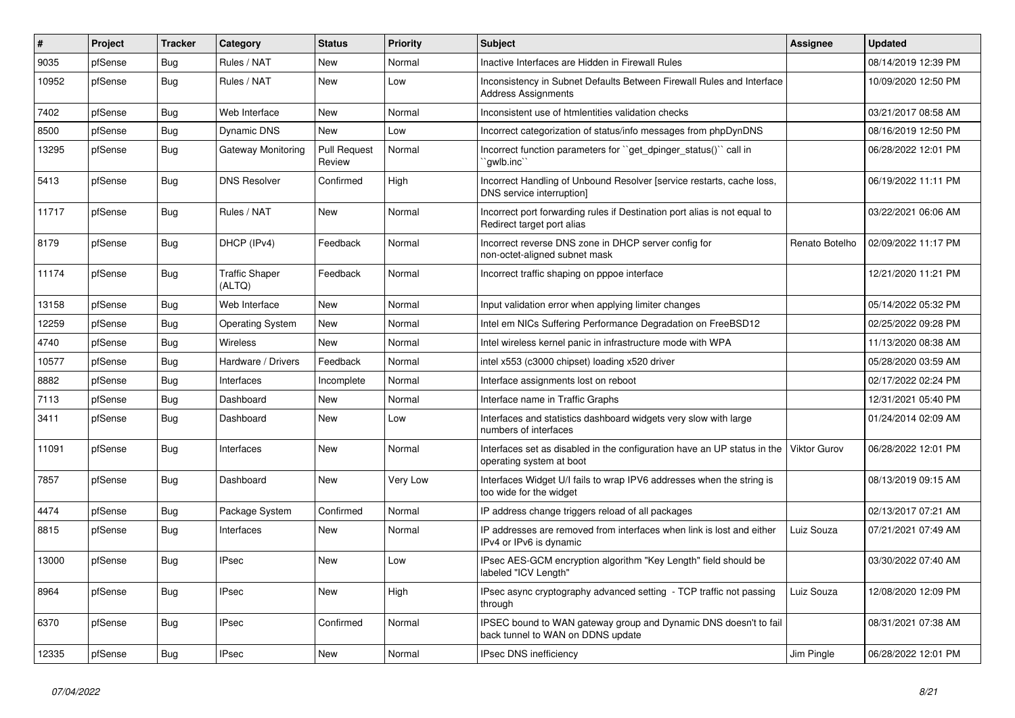| ∦     | Project | <b>Tracker</b> | Category                        | <b>Status</b>                 | <b>Priority</b> | Subject                                                                                                 | Assignee            | <b>Updated</b>      |
|-------|---------|----------------|---------------------------------|-------------------------------|-----------------|---------------------------------------------------------------------------------------------------------|---------------------|---------------------|
| 9035  | pfSense | Bug            | Rules / NAT                     | New                           | Normal          | Inactive Interfaces are Hidden in Firewall Rules                                                        |                     | 08/14/2019 12:39 PM |
| 10952 | pfSense | Bug            | Rules / NAT                     | New                           | Low             | Inconsistency in Subnet Defaults Between Firewall Rules and Interface<br><b>Address Assignments</b>     |                     | 10/09/2020 12:50 PM |
| 7402  | pfSense | Bug            | Web Interface                   | <b>New</b>                    | Normal          | Inconsistent use of htmlentities validation checks                                                      |                     | 03/21/2017 08:58 AM |
| 8500  | pfSense | <b>Bug</b>     | Dynamic DNS                     | New                           | Low             | Incorrect categorization of status/info messages from phpDynDNS                                         |                     | 08/16/2019 12:50 PM |
| 13295 | pfSense | Bug            | Gateway Monitoring              | <b>Pull Request</b><br>Review | Normal          | Incorrect function parameters for "get dpinger status()" call in<br>`gwlb.inc`                          |                     | 06/28/2022 12:01 PM |
| 5413  | pfSense | Bug            | <b>DNS Resolver</b>             | Confirmed                     | High            | Incorrect Handling of Unbound Resolver [service restarts, cache loss,<br>DNS service interruption1      |                     | 06/19/2022 11:11 PM |
| 11717 | pfSense | Bug            | Rules / NAT                     | New                           | Normal          | Incorrect port forwarding rules if Destination port alias is not equal to<br>Redirect target port alias |                     | 03/22/2021 06:06 AM |
| 8179  | pfSense | Bug            | DHCP (IPv4)                     | Feedback                      | Normal          | Incorrect reverse DNS zone in DHCP server config for<br>non-octet-aligned subnet mask                   | Renato Botelho      | 02/09/2022 11:17 PM |
| 11174 | pfSense | Bug            | <b>Traffic Shaper</b><br>(ALTQ) | Feedback                      | Normal          | Incorrect traffic shaping on pppoe interface                                                            |                     | 12/21/2020 11:21 PM |
| 13158 | pfSense | Bug            | Web Interface                   | New                           | Normal          | Input validation error when applying limiter changes                                                    |                     | 05/14/2022 05:32 PM |
| 12259 | pfSense | <b>Bug</b>     | <b>Operating System</b>         | New                           | Normal          | Intel em NICs Suffering Performance Degradation on FreeBSD12                                            |                     | 02/25/2022 09:28 PM |
| 4740  | pfSense | Bug            | <b>Wireless</b>                 | New                           | Normal          | Intel wireless kernel panic in infrastructure mode with WPA                                             |                     | 11/13/2020 08:38 AM |
| 10577 | pfSense | Bug            | Hardware / Drivers              | Feedback                      | Normal          | intel x553 (c3000 chipset) loading x520 driver                                                          |                     | 05/28/2020 03:59 AM |
| 8882  | pfSense | Bug            | Interfaces                      | Incomplete                    | Normal          | Interface assignments lost on reboot                                                                    |                     | 02/17/2022 02:24 PM |
| 7113  | pfSense | <b>Bug</b>     | Dashboard                       | <b>New</b>                    | Normal          | Interface name in Traffic Graphs                                                                        |                     | 12/31/2021 05:40 PM |
| 3411  | pfSense | Bug            | Dashboard                       | New                           | Low             | Interfaces and statistics dashboard widgets very slow with large<br>numbers of interfaces               |                     | 01/24/2014 02:09 AM |
| 11091 | pfSense | Bug            | Interfaces                      | <b>New</b>                    | Normal          | Interfaces set as disabled in the configuration have an UP status in the<br>operating system at boot    | <b>Viktor Gurov</b> | 06/28/2022 12:01 PM |
| 7857  | pfSense | Bug            | Dashboard                       | New                           | Very Low        | Interfaces Widget U/I fails to wrap IPV6 addresses when the string is<br>too wide for the widget        |                     | 08/13/2019 09:15 AM |
| 4474  | pfSense | <b>Bug</b>     | Package System                  | Confirmed                     | Normal          | IP address change triggers reload of all packages                                                       |                     | 02/13/2017 07:21 AM |
| 8815  | pfSense | <b>Bug</b>     | Interfaces                      | <b>New</b>                    | Normal          | IP addresses are removed from interfaces when link is lost and either<br>IPv4 or IPv6 is dynamic        | Luiz Souza          | 07/21/2021 07:49 AM |
| 13000 | pfSense | Bug            | <b>IPsec</b>                    | <b>New</b>                    | Low             | IPsec AES-GCM encryption algorithm "Key Length" field should be<br>labeled "ICV Length"                 |                     | 03/30/2022 07:40 AM |
| 8964  | pfSense | Bug            | <b>IPsec</b>                    | New                           | High            | IPsec async cryptography advanced setting - TCP traffic not passing<br>through                          | Luiz Souza          | 12/08/2020 12:09 PM |
| 6370  | pfSense | <b>Bug</b>     | <b>IPsec</b>                    | Confirmed                     | Normal          | IPSEC bound to WAN gateway group and Dynamic DNS doesn't to fail<br>back tunnel to WAN on DDNS update   |                     | 08/31/2021 07:38 AM |
| 12335 | pfSense | Bug            | <b>IPsec</b>                    | New                           | Normal          | IPsec DNS inefficiency                                                                                  | Jim Pingle          | 06/28/2022 12:01 PM |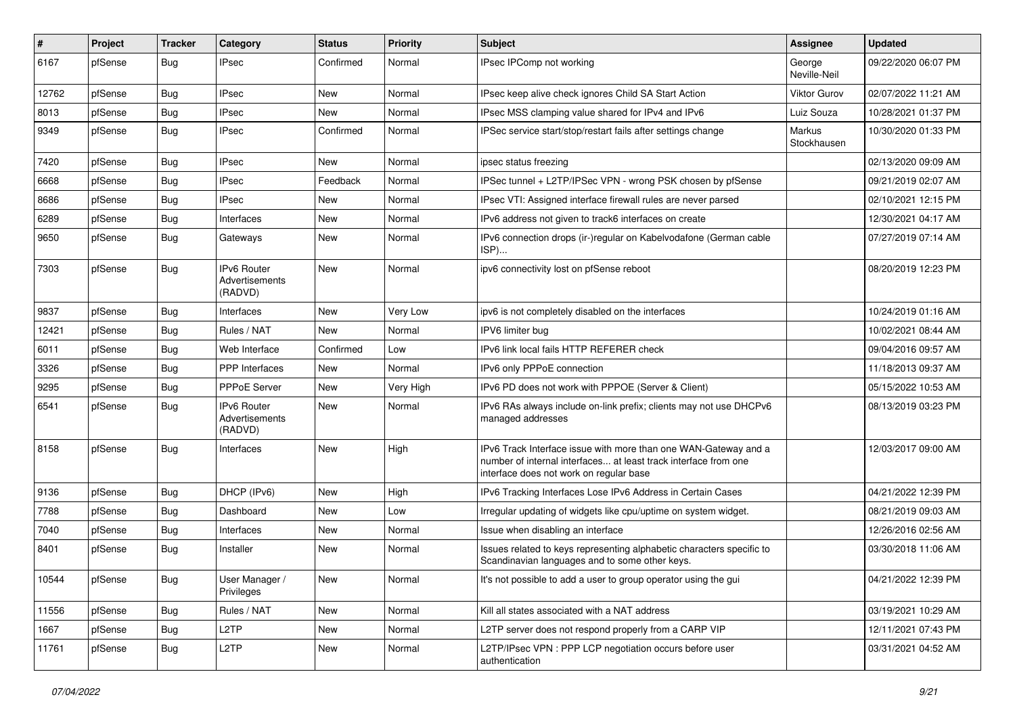| $\vert$ # | Project | <b>Tracker</b> | Category                                        | <b>Status</b> | <b>Priority</b> | <b>Subject</b>                                                                                                                                                                | <b>Assignee</b>        | <b>Updated</b>      |
|-----------|---------|----------------|-------------------------------------------------|---------------|-----------------|-------------------------------------------------------------------------------------------------------------------------------------------------------------------------------|------------------------|---------------------|
| 6167      | pfSense | Bug            | <b>IPsec</b>                                    | Confirmed     | Normal          | IPsec IPComp not working                                                                                                                                                      | George<br>Neville-Neil | 09/22/2020 06:07 PM |
| 12762     | pfSense | Bug            | <b>IPsec</b>                                    | New           | Normal          | IPsec keep alive check ignores Child SA Start Action                                                                                                                          | <b>Viktor Gurov</b>    | 02/07/2022 11:21 AM |
| 8013      | pfSense | Bug            | <b>IPsec</b>                                    | New           | Normal          | IPsec MSS clamping value shared for IPv4 and IPv6                                                                                                                             | Luiz Souza             | 10/28/2021 01:37 PM |
| 9349      | pfSense | Bug            | <b>IPsec</b>                                    | Confirmed     | Normal          | IPSec service start/stop/restart fails after settings change                                                                                                                  | Markus<br>Stockhausen  | 10/30/2020 01:33 PM |
| 7420      | pfSense | Bug            | <b>IPsec</b>                                    | New           | Normal          | ipsec status freezing                                                                                                                                                         |                        | 02/13/2020 09:09 AM |
| 6668      | pfSense | Bug            | <b>IPsec</b>                                    | Feedback      | Normal          | IPSec tunnel + L2TP/IPSec VPN - wrong PSK chosen by pfSense                                                                                                                   |                        | 09/21/2019 02:07 AM |
| 8686      | pfSense | Bug            | <b>IPsec</b>                                    | New           | Normal          | IPsec VTI: Assigned interface firewall rules are never parsed                                                                                                                 |                        | 02/10/2021 12:15 PM |
| 6289      | pfSense | <b>Bug</b>     | Interfaces                                      | <b>New</b>    | Normal          | IPv6 address not given to track6 interfaces on create                                                                                                                         |                        | 12/30/2021 04:17 AM |
| 9650      | pfSense | Bug            | Gateways                                        | <b>New</b>    | Normal          | IPv6 connection drops (ir-)regular on Kabelvodafone (German cable<br>ISP)                                                                                                     |                        | 07/27/2019 07:14 AM |
| 7303      | pfSense | Bug            | <b>IPv6 Router</b><br>Advertisements<br>(RADVD) | New           | Normal          | ipv6 connectivity lost on pfSense reboot                                                                                                                                      |                        | 08/20/2019 12:23 PM |
| 9837      | pfSense | Bug            | Interfaces                                      | <b>New</b>    | Very Low        | ipv6 is not completely disabled on the interfaces                                                                                                                             |                        | 10/24/2019 01:16 AM |
| 12421     | pfSense | Bug            | Rules / NAT                                     | New           | Normal          | IPV6 limiter bug                                                                                                                                                              |                        | 10/02/2021 08:44 AM |
| 6011      | pfSense | Bug            | Web Interface                                   | Confirmed     | Low             | IPv6 link local fails HTTP REFERER check                                                                                                                                      |                        | 09/04/2016 09:57 AM |
| 3326      | pfSense | Bug            | PPP Interfaces                                  | New           | Normal          | IPv6 only PPPoE connection                                                                                                                                                    |                        | 11/18/2013 09:37 AM |
| 9295      | pfSense | Bug            | <b>PPPoE Server</b>                             | New           | Very High       | IPv6 PD does not work with PPPOE (Server & Client)                                                                                                                            |                        | 05/15/2022 10:53 AM |
| 6541      | pfSense | Bug            | <b>IPv6 Router</b><br>Advertisements<br>(RADVD) | <b>New</b>    | Normal          | IPv6 RAs always include on-link prefix; clients may not use DHCPv6<br>managed addresses                                                                                       |                        | 08/13/2019 03:23 PM |
| 8158      | pfSense | Bug            | Interfaces                                      | <b>New</b>    | High            | IPv6 Track Interface issue with more than one WAN-Gateway and a<br>number of internal interfaces at least track interface from one<br>interface does not work on regular base |                        | 12/03/2017 09:00 AM |
| 9136      | pfSense | <b>Bug</b>     | DHCP (IPv6)                                     | <b>New</b>    | High            | IPv6 Tracking Interfaces Lose IPv6 Address in Certain Cases                                                                                                                   |                        | 04/21/2022 12:39 PM |
| 7788      | pfSense | Bug            | Dashboard                                       | New           | Low             | Irregular updating of widgets like cpu/uptime on system widget.                                                                                                               |                        | 08/21/2019 09:03 AM |
| 7040      | pfSense | Bug            | Interfaces                                      | New           | Normal          | Issue when disabling an interface                                                                                                                                             |                        | 12/26/2016 02:56 AM |
| 8401      | pfSense | Bug            | Installer                                       | New           | Normal          | Issues related to keys representing alphabetic characters specific to<br>Scandinavian languages and to some other keys.                                                       |                        | 03/30/2018 11:06 AM |
| 10544     | pfSense | Bug            | User Manager /<br>Privileges                    | New           | Normal          | It's not possible to add a user to group operator using the qui                                                                                                               |                        | 04/21/2022 12:39 PM |
| 11556     | pfSense | Bug            | Rules / NAT                                     | New           | Normal          | Kill all states associated with a NAT address                                                                                                                                 |                        | 03/19/2021 10:29 AM |
| 1667      | pfSense | <b>Bug</b>     | L <sub>2</sub> TP                               | New           | Normal          | L2TP server does not respond properly from a CARP VIP                                                                                                                         |                        | 12/11/2021 07:43 PM |
| 11761     | pfSense | <b>Bug</b>     | L <sub>2</sub> TP                               | New           | Normal          | L2TP/IPsec VPN : PPP LCP negotiation occurs before user<br>authentication                                                                                                     |                        | 03/31/2021 04:52 AM |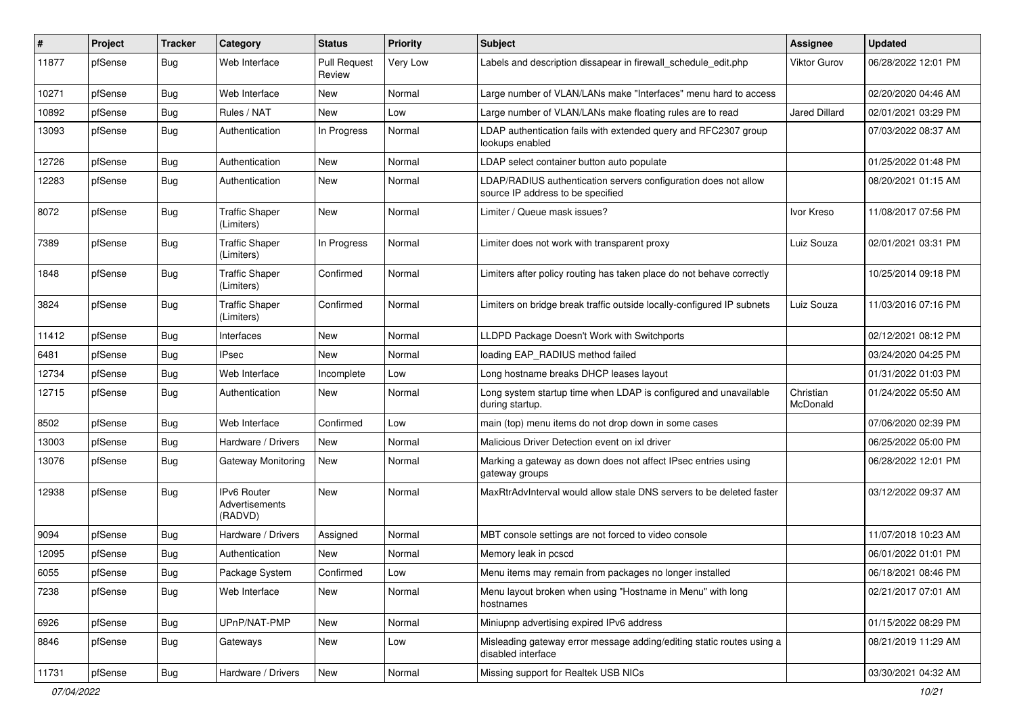| #     | Project | <b>Tracker</b> | Category                                 | <b>Status</b>                 | <b>Priority</b> | Subject                                                                                              | <b>Assignee</b>       | <b>Updated</b>      |
|-------|---------|----------------|------------------------------------------|-------------------------------|-----------------|------------------------------------------------------------------------------------------------------|-----------------------|---------------------|
| 11877 | pfSense | <b>Bug</b>     | Web Interface                            | <b>Pull Request</b><br>Review | Very Low        | Labels and description dissapear in firewall schedule edit.php                                       | <b>Viktor Gurov</b>   | 06/28/2022 12:01 PM |
| 10271 | pfSense | Bug            | Web Interface                            | <b>New</b>                    | Normal          | Large number of VLAN/LANs make "Interfaces" menu hard to access                                      |                       | 02/20/2020 04:46 AM |
| 10892 | pfSense | <b>Bug</b>     | Rules / NAT                              | <b>New</b>                    | Low             | Large number of VLAN/LANs make floating rules are to read                                            | <b>Jared Dillard</b>  | 02/01/2021 03:29 PM |
| 13093 | pfSense | <b>Bug</b>     | Authentication                           | In Progress                   | Normal          | LDAP authentication fails with extended query and RFC2307 group<br>lookups enabled                   |                       | 07/03/2022 08:37 AM |
| 12726 | pfSense | <b>Bug</b>     | Authentication                           | <b>New</b>                    | Normal          | LDAP select container button auto populate                                                           |                       | 01/25/2022 01:48 PM |
| 12283 | pfSense | <b>Bug</b>     | Authentication                           | <b>New</b>                    | Normal          | LDAP/RADIUS authentication servers configuration does not allow<br>source IP address to be specified |                       | 08/20/2021 01:15 AM |
| 8072  | pfSense | <b>Bug</b>     | <b>Traffic Shaper</b><br>(Limiters)      | <b>New</b>                    | Normal          | Limiter / Queue mask issues?                                                                         | Ivor Kreso            | 11/08/2017 07:56 PM |
| 7389  | pfSense | <b>Bug</b>     | <b>Traffic Shaper</b><br>(Limiters)      | In Progress                   | Normal          | Limiter does not work with transparent proxy                                                         | Luiz Souza            | 02/01/2021 03:31 PM |
| 1848  | pfSense | <b>Bug</b>     | <b>Traffic Shaper</b><br>(Limiters)      | Confirmed                     | Normal          | Limiters after policy routing has taken place do not behave correctly                                |                       | 10/25/2014 09:18 PM |
| 3824  | pfSense | <b>Bug</b>     | <b>Traffic Shaper</b><br>(Limiters)      | Confirmed                     | Normal          | Limiters on bridge break traffic outside locally-configured IP subnets                               | Luiz Souza            | 11/03/2016 07:16 PM |
| 11412 | pfSense | <b>Bug</b>     | Interfaces                               | <b>New</b>                    | Normal          | LLDPD Package Doesn't Work with Switchports                                                          |                       | 02/12/2021 08:12 PM |
| 6481  | pfSense | <b>Bug</b>     | <b>IPsec</b>                             | <b>New</b>                    | Normal          | loading EAP_RADIUS method failed                                                                     |                       | 03/24/2020 04:25 PM |
| 12734 | pfSense | <b>Bug</b>     | Web Interface                            | Incomplete                    | Low             | Long hostname breaks DHCP leases layout                                                              |                       | 01/31/2022 01:03 PM |
| 12715 | pfSense | <b>Bug</b>     | Authentication                           | New                           | Normal          | Long system startup time when LDAP is configured and unavailable<br>during startup.                  | Christian<br>McDonald | 01/24/2022 05:50 AM |
| 8502  | pfSense | <b>Bug</b>     | Web Interface                            | Confirmed                     | Low             | main (top) menu items do not drop down in some cases                                                 |                       | 07/06/2020 02:39 PM |
| 13003 | pfSense | <b>Bug</b>     | Hardware / Drivers                       | <b>New</b>                    | Normal          | Malicious Driver Detection event on ixl driver                                                       |                       | 06/25/2022 05:00 PM |
| 13076 | pfSense | <b>Bug</b>     | Gateway Monitoring                       | New                           | Normal          | Marking a gateway as down does not affect IPsec entries using<br>gateway groups                      |                       | 06/28/2022 12:01 PM |
| 12938 | pfSense | Bug            | IPv6 Router<br>Advertisements<br>(RADVD) | <b>New</b>                    | Normal          | MaxRtrAdvInterval would allow stale DNS servers to be deleted faster                                 |                       | 03/12/2022 09:37 AM |
| 9094  | pfSense | Bug            | Hardware / Drivers                       | Assigned                      | Normal          | MBT console settings are not forced to video console                                                 |                       | 11/07/2018 10:23 AM |
| 12095 | pfSense | Bug            | Authentication                           | New                           | Normal          | Memory leak in pcscd                                                                                 |                       | 06/01/2022 01:01 PM |
| 6055  | pfSense | Bug            | Package System                           | Confirmed                     | Low             | Menu items may remain from packages no longer installed                                              |                       | 06/18/2021 08:46 PM |
| 7238  | pfSense | Bug            | Web Interface                            | New                           | Normal          | Menu layout broken when using "Hostname in Menu" with long<br>hostnames                              |                       | 02/21/2017 07:01 AM |
| 6926  | pfSense | <b>Bug</b>     | UPnP/NAT-PMP                             | New                           | Normal          | Miniupnp advertising expired IPv6 address                                                            |                       | 01/15/2022 08:29 PM |
| 8846  | pfSense | <b>Bug</b>     | Gateways                                 | New                           | Low             | Misleading gateway error message adding/editing static routes using a<br>disabled interface          |                       | 08/21/2019 11:29 AM |
| 11731 | pfSense | <b>Bug</b>     | Hardware / Drivers                       | New                           | Normal          | Missing support for Realtek USB NICs                                                                 |                       | 03/30/2021 04:32 AM |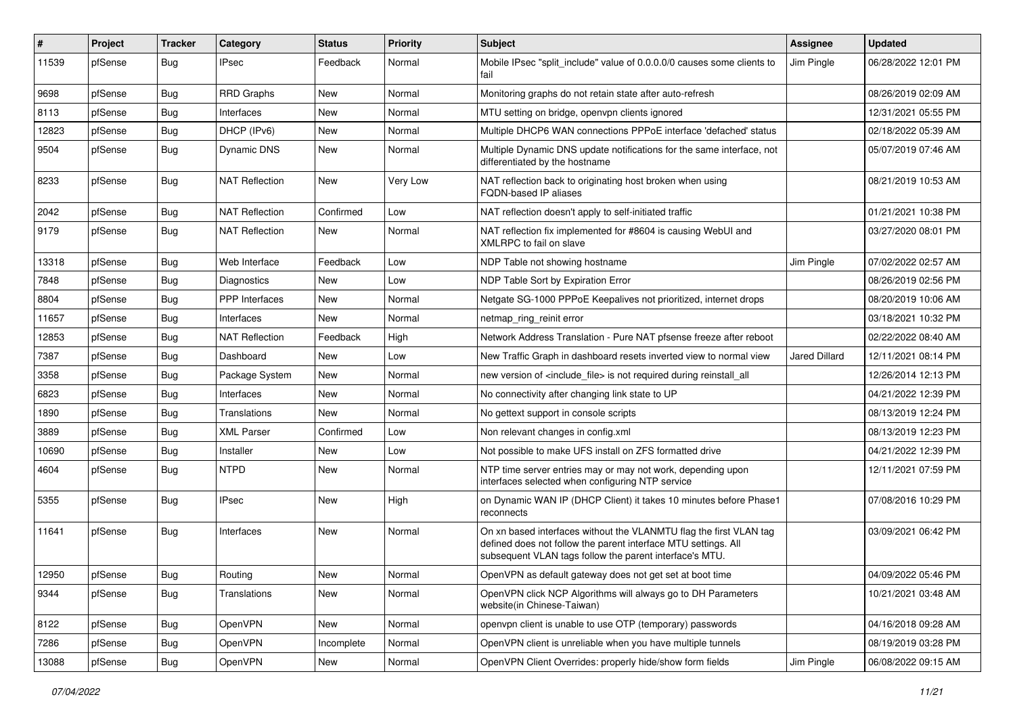| #     | Project | <b>Tracker</b> | Category              | <b>Status</b> | <b>Priority</b> | <b>Subject</b>                                                                                                                                                                                  | <b>Assignee</b>      | <b>Updated</b>      |
|-------|---------|----------------|-----------------------|---------------|-----------------|-------------------------------------------------------------------------------------------------------------------------------------------------------------------------------------------------|----------------------|---------------------|
| 11539 | pfSense | <b>Bug</b>     | <b>IPsec</b>          | Feedback      | Normal          | Mobile IPsec "split include" value of 0.0.0.0/0 causes some clients to<br>fail                                                                                                                  | Jim Pingle           | 06/28/2022 12:01 PM |
| 9698  | pfSense | Bug            | <b>RRD Graphs</b>     | New           | Normal          | Monitoring graphs do not retain state after auto-refresh                                                                                                                                        |                      | 08/26/2019 02:09 AM |
| 8113  | pfSense | <b>Bug</b>     | Interfaces            | <b>New</b>    | Normal          | MTU setting on bridge, openypn clients ignored                                                                                                                                                  |                      | 12/31/2021 05:55 PM |
| 12823 | pfSense | Bug            | DHCP (IPv6)           | <b>New</b>    | Normal          | Multiple DHCP6 WAN connections PPPoE interface 'defached' status                                                                                                                                |                      | 02/18/2022 05:39 AM |
| 9504  | pfSense | <b>Bug</b>     | Dynamic DNS           | <b>New</b>    | Normal          | Multiple Dynamic DNS update notifications for the same interface, not<br>differentiated by the hostname                                                                                         |                      | 05/07/2019 07:46 AM |
| 8233  | pfSense | <b>Bug</b>     | <b>NAT Reflection</b> | <b>New</b>    | Very Low        | NAT reflection back to originating host broken when using<br>FQDN-based IP aliases                                                                                                              |                      | 08/21/2019 10:53 AM |
| 2042  | pfSense | <b>Bug</b>     | <b>NAT Reflection</b> | Confirmed     | Low             | NAT reflection doesn't apply to self-initiated traffic                                                                                                                                          |                      | 01/21/2021 10:38 PM |
| 9179  | pfSense | <b>Bug</b>     | <b>NAT Reflection</b> | New           | Normal          | NAT reflection fix implemented for #8604 is causing WebUI and<br>XMLRPC to fail on slave                                                                                                        |                      | 03/27/2020 08:01 PM |
| 13318 | pfSense | Bug            | Web Interface         | Feedback      | Low             | NDP Table not showing hostname                                                                                                                                                                  | Jim Pingle           | 07/02/2022 02:57 AM |
| 7848  | pfSense | <b>Bug</b>     | Diagnostics           | New           | Low             | NDP Table Sort by Expiration Error                                                                                                                                                              |                      | 08/26/2019 02:56 PM |
| 8804  | pfSense | <b>Bug</b>     | PPP Interfaces        | New           | Normal          | Netgate SG-1000 PPPoE Keepalives not prioritized, internet drops                                                                                                                                |                      | 08/20/2019 10:06 AM |
| 11657 | pfSense | <b>Bug</b>     | Interfaces            | <b>New</b>    | Normal          | netmap_ring_reinit error                                                                                                                                                                        |                      | 03/18/2021 10:32 PM |
| 12853 | pfSense | <b>Bug</b>     | <b>NAT Reflection</b> | Feedback      | High            | Network Address Translation - Pure NAT pfsense freeze after reboot                                                                                                                              |                      | 02/22/2022 08:40 AM |
| 7387  | pfSense | <b>Bug</b>     | Dashboard             | <b>New</b>    | Low             | New Traffic Graph in dashboard resets inverted view to normal view                                                                                                                              | <b>Jared Dillard</b> | 12/11/2021 08:14 PM |
| 3358  | pfSense | Bug            | Package System        | New           | Normal          | new version of <include file=""> is not required during reinstall all</include>                                                                                                                 |                      | 12/26/2014 12:13 PM |
| 6823  | pfSense | <b>Bug</b>     | Interfaces            | <b>New</b>    | Normal          | No connectivity after changing link state to UP                                                                                                                                                 |                      | 04/21/2022 12:39 PM |
| 1890  | pfSense | <b>Bug</b>     | Translations          | New           | Normal          | No gettext support in console scripts                                                                                                                                                           |                      | 08/13/2019 12:24 PM |
| 3889  | pfSense | <b>Bug</b>     | <b>XML Parser</b>     | Confirmed     | Low             | Non relevant changes in config.xml                                                                                                                                                              |                      | 08/13/2019 12:23 PM |
| 10690 | pfSense | <b>Bug</b>     | Installer             | <b>New</b>    | Low             | Not possible to make UFS install on ZFS formatted drive                                                                                                                                         |                      | 04/21/2022 12:39 PM |
| 4604  | pfSense | Bug            | <b>NTPD</b>           | New           | Normal          | NTP time server entries may or may not work, depending upon<br>interfaces selected when configuring NTP service                                                                                 |                      | 12/11/2021 07:59 PM |
| 5355  | pfSense | <b>Bug</b>     | <b>IPsec</b>          | <b>New</b>    | High            | on Dynamic WAN IP (DHCP Client) it takes 10 minutes before Phase1<br>reconnects                                                                                                                 |                      | 07/08/2016 10:29 PM |
| 11641 | pfSense | <b>Bug</b>     | Interfaces            | <b>New</b>    | Normal          | On xn based interfaces without the VLANMTU flag the first VLAN tag<br>defined does not follow the parent interface MTU settings. All<br>subsequent VLAN tags follow the parent interface's MTU. |                      | 03/09/2021 06:42 PM |
| 12950 | pfSense | Bug            | Routing               | New           | Normal          | OpenVPN as default gateway does not get set at boot time                                                                                                                                        |                      | 04/09/2022 05:46 PM |
| 9344  | pfSense | <b>Bug</b>     | Translations          | New           | Normal          | OpenVPN click NCP Algorithms will always go to DH Parameters<br>website(in Chinese-Taiwan)                                                                                                      |                      | 10/21/2021 03:48 AM |
| 8122  | pfSense | <b>Bug</b>     | OpenVPN               | New           | Normal          | openvpn client is unable to use OTP (temporary) passwords                                                                                                                                       |                      | 04/16/2018 09:28 AM |
| 7286  | pfSense | Bug            | OpenVPN               | Incomplete    | Normal          | OpenVPN client is unreliable when you have multiple tunnels                                                                                                                                     |                      | 08/19/2019 03:28 PM |
| 13088 | pfSense | Bug            | OpenVPN               | New           | Normal          | OpenVPN Client Overrides: properly hide/show form fields                                                                                                                                        | Jim Pingle           | 06/08/2022 09:15 AM |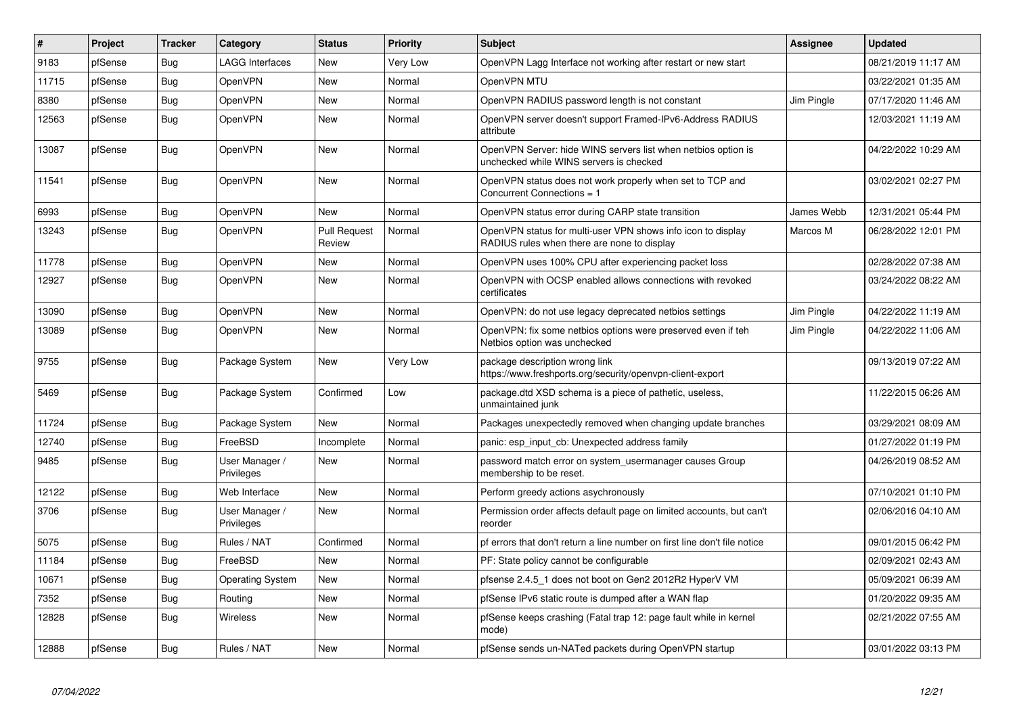| #     | Project | <b>Tracker</b> | Category                     | <b>Status</b>                 | Priority | <b>Subject</b>                                                                                              | <b>Assignee</b>   | <b>Updated</b>      |
|-------|---------|----------------|------------------------------|-------------------------------|----------|-------------------------------------------------------------------------------------------------------------|-------------------|---------------------|
| 9183  | pfSense | Bug            | <b>LAGG Interfaces</b>       | <b>New</b>                    | Very Low | OpenVPN Lagg Interface not working after restart or new start                                               |                   | 08/21/2019 11:17 AM |
| 11715 | pfSense | <b>Bug</b>     | OpenVPN                      | <b>New</b>                    | Normal   | OpenVPN MTU                                                                                                 |                   | 03/22/2021 01:35 AM |
| 8380  | pfSense | Bug            | OpenVPN                      | <b>New</b>                    | Normal   | OpenVPN RADIUS password length is not constant                                                              | Jim Pingle        | 07/17/2020 11:46 AM |
| 12563 | pfSense | Bug            | OpenVPN                      | New                           | Normal   | OpenVPN server doesn't support Framed-IPv6-Address RADIUS<br>attribute                                      |                   | 12/03/2021 11:19 AM |
| 13087 | pfSense | Bug            | OpenVPN                      | <b>New</b>                    | Normal   | OpenVPN Server: hide WINS servers list when netbios option is<br>unchecked while WINS servers is checked    |                   | 04/22/2022 10:29 AM |
| 11541 | pfSense | Bug            | OpenVPN                      | <b>New</b>                    | Normal   | OpenVPN status does not work properly when set to TCP and<br>Concurrent Connections = 1                     |                   | 03/02/2021 02:27 PM |
| 6993  | pfSense | Bug            | OpenVPN                      | <b>New</b>                    | Normal   | OpenVPN status error during CARP state transition                                                           | <b>James Webb</b> | 12/31/2021 05:44 PM |
| 13243 | pfSense | <b>Bug</b>     | OpenVPN                      | <b>Pull Request</b><br>Review | Normal   | OpenVPN status for multi-user VPN shows info icon to display<br>RADIUS rules when there are none to display | Marcos M          | 06/28/2022 12:01 PM |
| 11778 | pfSense | Bug            | OpenVPN                      | New                           | Normal   | OpenVPN uses 100% CPU after experiencing packet loss                                                        |                   | 02/28/2022 07:38 AM |
| 12927 | pfSense | <b>Bug</b>     | OpenVPN                      | <b>New</b>                    | Normal   | OpenVPN with OCSP enabled allows connections with revoked<br>certificates                                   |                   | 03/24/2022 08:22 AM |
| 13090 | pfSense | <b>Bug</b>     | OpenVPN                      | <b>New</b>                    | Normal   | OpenVPN: do not use legacy deprecated netbios settings                                                      | Jim Pingle        | 04/22/2022 11:19 AM |
| 13089 | pfSense | Bug            | OpenVPN                      | New                           | Normal   | OpenVPN: fix some netbios options were preserved even if teh<br>Netbios option was unchecked                | Jim Pingle        | 04/22/2022 11:06 AM |
| 9755  | pfSense | Bug            | Package System               | New                           | Very Low | package description wrong link<br>https://www.freshports.org/security/openvpn-client-export                 |                   | 09/13/2019 07:22 AM |
| 5469  | pfSense | <b>Bug</b>     | Package System               | Confirmed                     | Low      | package.dtd XSD schema is a piece of pathetic, useless,<br>unmaintained junk                                |                   | 11/22/2015 06:26 AM |
| 11724 | pfSense | Bug            | Package System               | <b>New</b>                    | Normal   | Packages unexpectedly removed when changing update branches                                                 |                   | 03/29/2021 08:09 AM |
| 12740 | pfSense | Bug            | FreeBSD                      | Incomplete                    | Normal   | panic: esp_input_cb: Unexpected address family                                                              |                   | 01/27/2022 01:19 PM |
| 9485  | pfSense | <b>Bug</b>     | User Manager /<br>Privileges | <b>New</b>                    | Normal   | password match error on system usermanager causes Group<br>membership to be reset.                          |                   | 04/26/2019 08:52 AM |
| 12122 | pfSense | Bug            | Web Interface                | <b>New</b>                    | Normal   | Perform greedy actions asychronously                                                                        |                   | 07/10/2021 01:10 PM |
| 3706  | pfSense | Bug            | User Manager /<br>Privileges | <b>New</b>                    | Normal   | Permission order affects default page on limited accounts, but can't<br>reorder                             |                   | 02/06/2016 04:10 AM |
| 5075  | pfSense | Bug            | Rules / NAT                  | Confirmed                     | Normal   | pf errors that don't return a line number on first line don't file notice                                   |                   | 09/01/2015 06:42 PM |
| 11184 | pfSense | <b>Bug</b>     | FreeBSD                      | <b>New</b>                    | Normal   | PF: State policy cannot be configurable                                                                     |                   | 02/09/2021 02:43 AM |
| 10671 | pfSense | Bug            | <b>Operating System</b>      | <b>New</b>                    | Normal   | pfsense 2.4.5_1 does not boot on Gen2 2012R2 HyperV VM                                                      |                   | 05/09/2021 06:39 AM |
| 7352  | pfSense | <b>Bug</b>     | Routing                      | <b>New</b>                    | Normal   | pfSense IPv6 static route is dumped after a WAN flap                                                        |                   | 01/20/2022 09:35 AM |
| 12828 | pfSense | Bug            | <b>Wireless</b>              | <b>New</b>                    | Normal   | pfSense keeps crashing (Fatal trap 12: page fault while in kernel<br>mode)                                  |                   | 02/21/2022 07:55 AM |
| 12888 | pfSense | Bug            | Rules / NAT                  | <b>New</b>                    | Normal   | pfSense sends un-NATed packets during OpenVPN startup                                                       |                   | 03/01/2022 03:13 PM |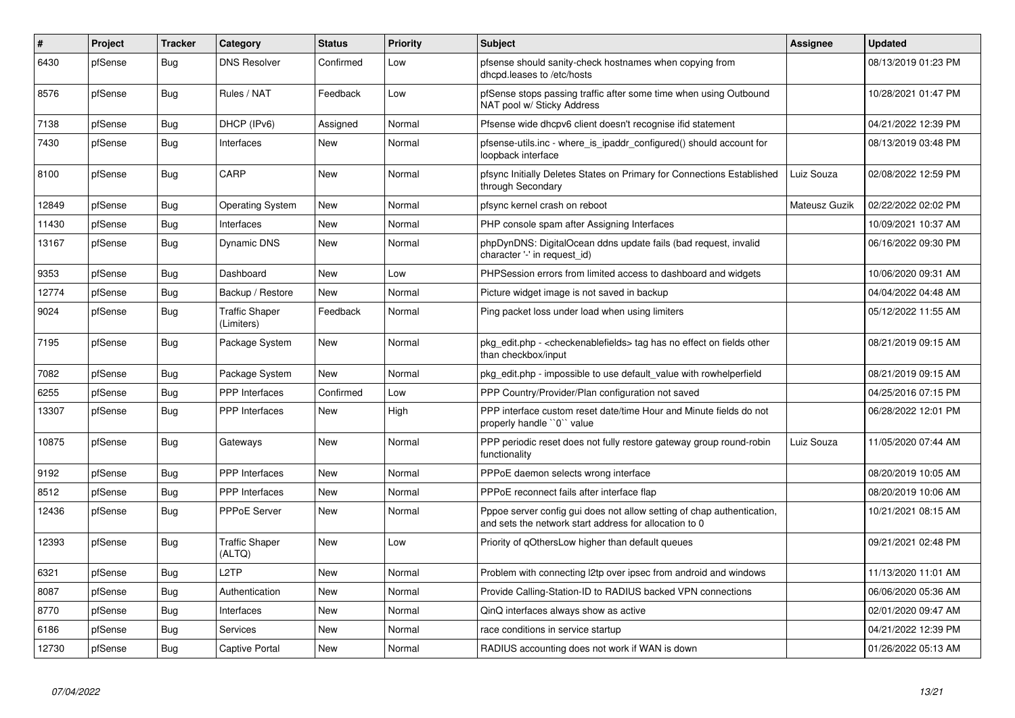| #     | Project | <b>Tracker</b> | Category                            | <b>Status</b> | Priority | <b>Subject</b>                                                                                                                   | Assignee      | <b>Updated</b>      |
|-------|---------|----------------|-------------------------------------|---------------|----------|----------------------------------------------------------------------------------------------------------------------------------|---------------|---------------------|
| 6430  | pfSense | Bug            | <b>DNS Resolver</b>                 | Confirmed     | Low      | pfsense should sanity-check hostnames when copying from<br>dhcpd.leases to /etc/hosts                                            |               | 08/13/2019 01:23 PM |
| 8576  | pfSense | Bug            | Rules / NAT                         | Feedback      | Low      | pfSense stops passing traffic after some time when using Outbound<br>NAT pool w/ Sticky Address                                  |               | 10/28/2021 01:47 PM |
| 7138  | pfSense | Bug            | DHCP (IPv6)                         | Assigned      | Normal   | Pfsense wide dhcpv6 client doesn't recognise ifid statement                                                                      |               | 04/21/2022 12:39 PM |
| 7430  | pfSense | <b>Bug</b>     | Interfaces                          | New           | Normal   | pfsense-utils.inc - where is ipaddr configured() should account for<br>loopback interface                                        |               | 08/13/2019 03:48 PM |
| 8100  | pfSense | Bug            | CARP                                | <b>New</b>    | Normal   | pfsync Initially Deletes States on Primary for Connections Established<br>through Secondary                                      | Luiz Souza    | 02/08/2022 12:59 PM |
| 12849 | pfSense | <b>Bug</b>     | <b>Operating System</b>             | New           | Normal   | pfsync kernel crash on reboot                                                                                                    | Mateusz Guzik | 02/22/2022 02:02 PM |
| 11430 | pfSense | <b>Bug</b>     | Interfaces                          | <b>New</b>    | Normal   | PHP console spam after Assigning Interfaces                                                                                      |               | 10/09/2021 10:37 AM |
| 13167 | pfSense | Bug            | <b>Dynamic DNS</b>                  | New           | Normal   | phpDynDNS: DigitalOcean ddns update fails (bad request, invalid<br>character '-' in request_id)                                  |               | 06/16/2022 09:30 PM |
| 9353  | pfSense | <b>Bug</b>     | Dashboard                           | <b>New</b>    | Low      | PHPSession errors from limited access to dashboard and widgets                                                                   |               | 10/06/2020 09:31 AM |
| 12774 | pfSense | Bug            | Backup / Restore                    | New           | Normal   | Picture widget image is not saved in backup                                                                                      |               | 04/04/2022 04:48 AM |
| 9024  | pfSense | <b>Bug</b>     | <b>Traffic Shaper</b><br>(Limiters) | Feedback      | Normal   | Ping packet loss under load when using limiters                                                                                  |               | 05/12/2022 11:55 AM |
| 7195  | pfSense | <b>Bug</b>     | Package System                      | <b>New</b>    | Normal   | pkg edit.php - <checkenablefields> tag has no effect on fields other<br/>than checkbox/input</checkenablefields>                 |               | 08/21/2019 09:15 AM |
| 7082  | pfSense | <b>Bug</b>     | Package System                      | <b>New</b>    | Normal   | pkg edit.php - impossible to use default value with rowhelperfield                                                               |               | 08/21/2019 09:15 AM |
| 6255  | pfSense | <b>Bug</b>     | PPP Interfaces                      | Confirmed     | Low      | PPP Country/Provider/Plan configuration not saved                                                                                |               | 04/25/2016 07:15 PM |
| 13307 | pfSense | <b>Bug</b>     | PPP Interfaces                      | <b>New</b>    | High     | PPP interface custom reset date/time Hour and Minute fields do not<br>properly handle "0" value                                  |               | 06/28/2022 12:01 PM |
| 10875 | pfSense | Bug            | Gateways                            | <b>New</b>    | Normal   | PPP periodic reset does not fully restore gateway group round-robin<br>functionality                                             | Luiz Souza    | 11/05/2020 07:44 AM |
| 9192  | pfSense | Bug            | PPP Interfaces                      | <b>New</b>    | Normal   | PPPoE daemon selects wrong interface                                                                                             |               | 08/20/2019 10:05 AM |
| 8512  | pfSense | Bug            | <b>PPP</b> Interfaces               | <b>New</b>    | Normal   | PPPoE reconnect fails after interface flap                                                                                       |               | 08/20/2019 10:06 AM |
| 12436 | pfSense | <b>Bug</b>     | <b>PPPoE Server</b>                 | <b>New</b>    | Normal   | Pppoe server config gui does not allow setting of chap authentication,<br>and sets the network start address for allocation to 0 |               | 10/21/2021 08:15 AM |
| 12393 | pfSense | <b>Bug</b>     | <b>Traffic Shaper</b><br>(ALTQ)     | <b>New</b>    | Low      | Priority of gOthersLow higher than default queues                                                                                |               | 09/21/2021 02:48 PM |
| 6321  | pfSense | <b>Bug</b>     | L <sub>2</sub> TP                   | <b>New</b>    | Normal   | Problem with connecting I2tp over ipsec from android and windows                                                                 |               | 11/13/2020 11:01 AM |
| 8087  | pfSense | Bug            | Authentication                      | New           | Normal   | Provide Calling-Station-ID to RADIUS backed VPN connections                                                                      |               | 06/06/2020 05:36 AM |
| 8770  | pfSense | Bug            | Interfaces                          | New           | Normal   | QinQ interfaces always show as active                                                                                            |               | 02/01/2020 09:47 AM |
| 6186  | pfSense | <b>Bug</b>     | Services                            | <b>New</b>    | Normal   | race conditions in service startup                                                                                               |               | 04/21/2022 12:39 PM |
| 12730 | pfSense | Bug            | Captive Portal                      | New           | Normal   | RADIUS accounting does not work if WAN is down                                                                                   |               | 01/26/2022 05:13 AM |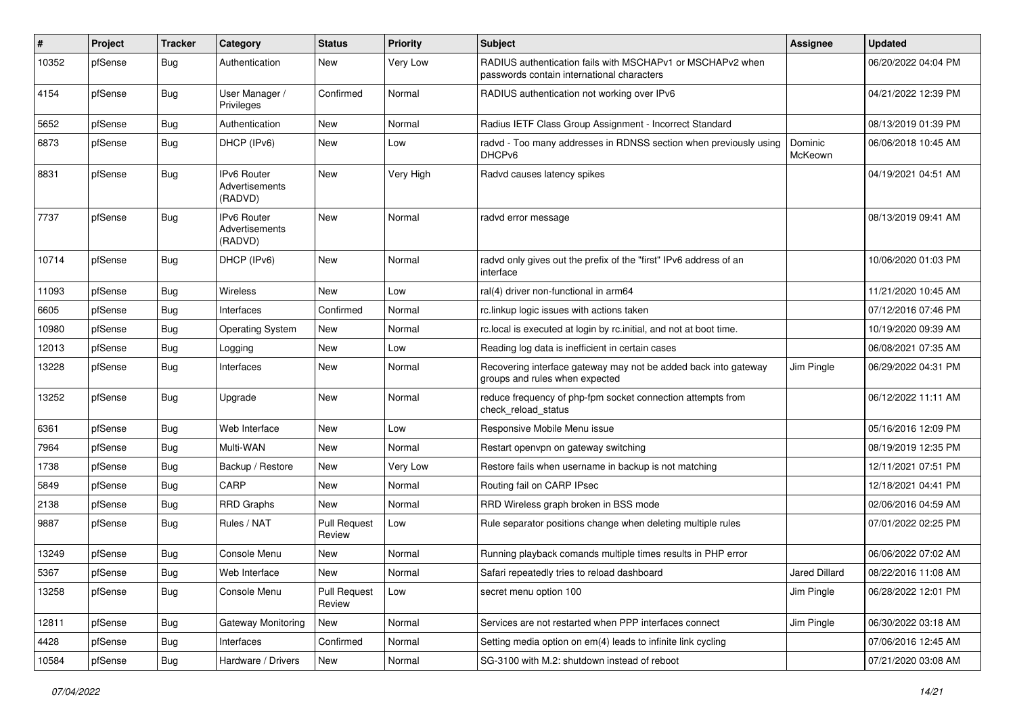| #     | Project | Tracker    | Category                                 | <b>Status</b>                 | <b>Priority</b> | <b>Subject</b>                                                                                           | <b>Assignee</b>    | <b>Updated</b>      |
|-------|---------|------------|------------------------------------------|-------------------------------|-----------------|----------------------------------------------------------------------------------------------------------|--------------------|---------------------|
| 10352 | pfSense | <b>Bug</b> | Authentication                           | <b>New</b>                    | Very Low        | RADIUS authentication fails with MSCHAPv1 or MSCHAPv2 when<br>passwords contain international characters |                    | 06/20/2022 04:04 PM |
| 4154  | pfSense | Bug        | User Manager /<br>Privileges             | Confirmed                     | Normal          | RADIUS authentication not working over IPv6                                                              |                    | 04/21/2022 12:39 PM |
| 5652  | pfSense | Bug        | Authentication                           | <b>New</b>                    | Normal          | Radius IETF Class Group Assignment - Incorrect Standard                                                  |                    | 08/13/2019 01:39 PM |
| 6873  | pfSense | Bug        | DHCP (IPv6)                              | New                           | Low             | radvd - Too many addresses in RDNSS section when previously using<br>DHCPv6                              | Dominic<br>McKeown | 06/06/2018 10:45 AM |
| 8831  | pfSense | Bug        | IPv6 Router<br>Advertisements<br>(RADVD) | <b>New</b>                    | Very High       | Radvd causes latency spikes                                                                              |                    | 04/19/2021 04:51 AM |
| 7737  | pfSense | <b>Bug</b> | IPv6 Router<br>Advertisements<br>(RADVD) | New                           | Normal          | radvd error message                                                                                      |                    | 08/13/2019 09:41 AM |
| 10714 | pfSense | Bug        | DHCP (IPv6)                              | <b>New</b>                    | Normal          | radvd only gives out the prefix of the "first" IPv6 address of an<br>interface                           |                    | 10/06/2020 01:03 PM |
| 11093 | pfSense | <b>Bug</b> | Wireless                                 | <b>New</b>                    | Low             | ral(4) driver non-functional in arm64                                                                    |                    | 11/21/2020 10:45 AM |
| 6605  | pfSense | Bug        | Interfaces                               | Confirmed                     | Normal          | rc.linkup logic issues with actions taken                                                                |                    | 07/12/2016 07:46 PM |
| 10980 | pfSense | <b>Bug</b> | <b>Operating System</b>                  | <b>New</b>                    | Normal          | rc.local is executed at login by rc.initial, and not at boot time.                                       |                    | 10/19/2020 09:39 AM |
| 12013 | pfSense | Bug        | Logging                                  | <b>New</b>                    | Low             | Reading log data is inefficient in certain cases                                                         |                    | 06/08/2021 07:35 AM |
| 13228 | pfSense | Bug        | Interfaces                               | New                           | Normal          | Recovering interface gateway may not be added back into gateway<br>groups and rules when expected        | Jim Pingle         | 06/29/2022 04:31 PM |
| 13252 | pfSense | Bug        | Upgrade                                  | New                           | Normal          | reduce frequency of php-fpm socket connection attempts from<br>check reload status                       |                    | 06/12/2022 11:11 AM |
| 6361  | pfSense | Bug        | Web Interface                            | <b>New</b>                    | Low             | Responsive Mobile Menu issue                                                                             |                    | 05/16/2016 12:09 PM |
| 7964  | pfSense | <b>Bug</b> | Multi-WAN                                | New                           | Normal          | Restart openvpn on gateway switching                                                                     |                    | 08/19/2019 12:35 PM |
| 1738  | pfSense | <b>Bug</b> | Backup / Restore                         | New                           | Very Low        | Restore fails when username in backup is not matching                                                    |                    | 12/11/2021 07:51 PM |
| 5849  | pfSense | Bug        | CARP                                     | <b>New</b>                    | Normal          | Routing fail on CARP IPsec                                                                               |                    | 12/18/2021 04:41 PM |
| 2138  | pfSense | <b>Bug</b> | <b>RRD Graphs</b>                        | New                           | Normal          | RRD Wireless graph broken in BSS mode                                                                    |                    | 02/06/2016 04:59 AM |
| 9887  | pfSense | <b>Bug</b> | Rules / NAT                              | <b>Pull Request</b><br>Review | Low             | Rule separator positions change when deleting multiple rules                                             |                    | 07/01/2022 02:25 PM |
| 13249 | pfSense | Bug        | Console Menu                             | New                           | Normal          | Running playback comands multiple times results in PHP error                                             |                    | 06/06/2022 07:02 AM |
| 5367  | pfSense | <b>Bug</b> | Web Interface                            | New                           | Normal          | Safari repeatedly tries to reload dashboard                                                              | Jared Dillard      | 08/22/2016 11:08 AM |
| 13258 | pfSense | Bug        | Console Menu                             | <b>Pull Request</b><br>Review | Low             | secret menu option 100                                                                                   | Jim Pingle         | 06/28/2022 12:01 PM |
| 12811 | pfSense | <b>Bug</b> | Gateway Monitoring                       | New                           | Normal          | Services are not restarted when PPP interfaces connect                                                   | Jim Pingle         | 06/30/2022 03:18 AM |
| 4428  | pfSense | <b>Bug</b> | Interfaces                               | Confirmed                     | Normal          | Setting media option on em(4) leads to infinite link cycling                                             |                    | 07/06/2016 12:45 AM |
| 10584 | pfSense | <b>Bug</b> | Hardware / Drivers                       | New                           | Normal          | SG-3100 with M.2: shutdown instead of reboot                                                             |                    | 07/21/2020 03:08 AM |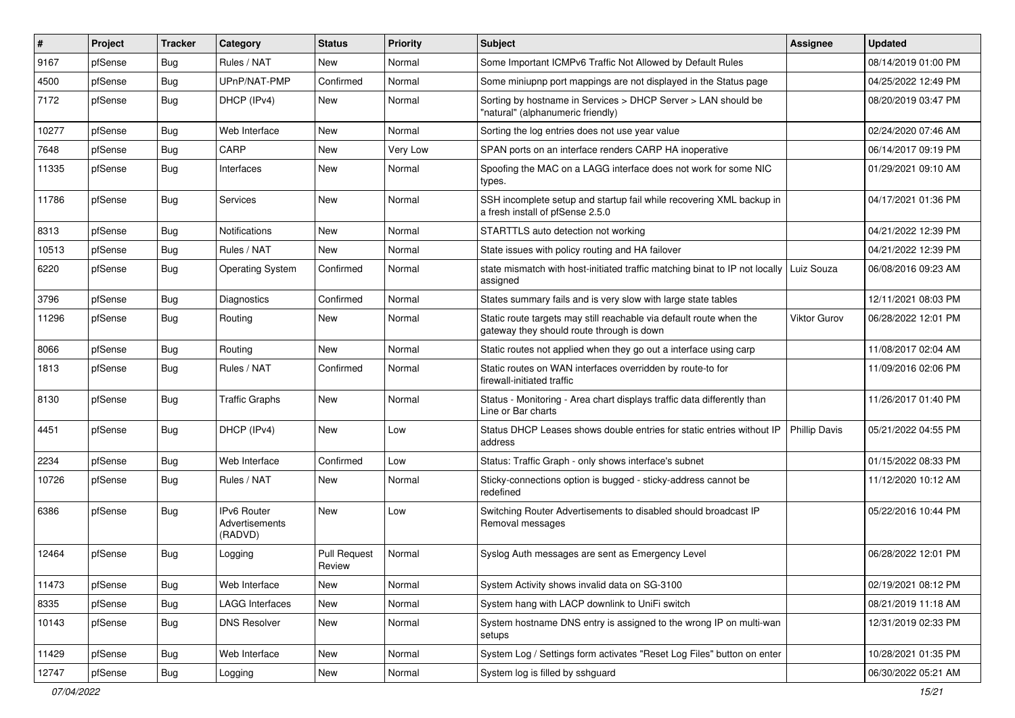| #     | Project | <b>Tracker</b> | Category                                        | <b>Status</b>                 | <b>Priority</b> | Subject                                                                                                          | <b>Assignee</b>      | <b>Updated</b>      |
|-------|---------|----------------|-------------------------------------------------|-------------------------------|-----------------|------------------------------------------------------------------------------------------------------------------|----------------------|---------------------|
| 9167  | pfSense | <b>Bug</b>     | Rules / NAT                                     | New                           | Normal          | Some Important ICMPv6 Traffic Not Allowed by Default Rules                                                       |                      | 08/14/2019 01:00 PM |
| 4500  | pfSense | <b>Bug</b>     | UPnP/NAT-PMP                                    | Confirmed                     | Normal          | Some miniupnp port mappings are not displayed in the Status page                                                 |                      | 04/25/2022 12:49 PM |
| 7172  | pfSense | <b>Bug</b>     | DHCP (IPv4)                                     | New                           | Normal          | Sorting by hostname in Services > DHCP Server > LAN should be<br>"natural" (alphanumeric friendly)               |                      | 08/20/2019 03:47 PM |
| 10277 | pfSense | Bug            | Web Interface                                   | <b>New</b>                    | Normal          | Sorting the log entries does not use year value                                                                  |                      | 02/24/2020 07:46 AM |
| 7648  | pfSense | <b>Bug</b>     | CARP                                            | <b>New</b>                    | Very Low        | SPAN ports on an interface renders CARP HA inoperative                                                           |                      | 06/14/2017 09:19 PM |
| 11335 | pfSense | <b>Bug</b>     | Interfaces                                      | New                           | Normal          | Spoofing the MAC on a LAGG interface does not work for some NIC<br>types.                                        |                      | 01/29/2021 09:10 AM |
| 11786 | pfSense | <b>Bug</b>     | <b>Services</b>                                 | <b>New</b>                    | Normal          | SSH incomplete setup and startup fail while recovering XML backup in<br>a fresh install of pfSense 2.5.0         |                      | 04/17/2021 01:36 PM |
| 8313  | pfSense | Bug            | <b>Notifications</b>                            | <b>New</b>                    | Normal          | STARTTLS auto detection not working                                                                              |                      | 04/21/2022 12:39 PM |
| 10513 | pfSense | <b>Bug</b>     | Rules / NAT                                     | New                           | Normal          | State issues with policy routing and HA failover                                                                 |                      | 04/21/2022 12:39 PM |
| 6220  | pfSense | <b>Bug</b>     | <b>Operating System</b>                         | Confirmed                     | Normal          | state mismatch with host-initiated traffic matching binat to IP not locally<br>assigned                          | Luiz Souza           | 06/08/2016 09:23 AM |
| 3796  | pfSense | <b>Bug</b>     | Diagnostics                                     | Confirmed                     | Normal          | States summary fails and is very slow with large state tables                                                    |                      | 12/11/2021 08:03 PM |
| 11296 | pfSense | <b>Bug</b>     | Routing                                         | <b>New</b>                    | Normal          | Static route targets may still reachable via default route when the<br>gateway they should route through is down | <b>Viktor Gurov</b>  | 06/28/2022 12:01 PM |
| 8066  | pfSense | <b>Bug</b>     | Routing                                         | <b>New</b>                    | Normal          | Static routes not applied when they go out a interface using carp                                                |                      | 11/08/2017 02:04 AM |
| 1813  | pfSense | <b>Bug</b>     | Rules / NAT                                     | Confirmed                     | Normal          | Static routes on WAN interfaces overridden by route-to for<br>firewall-initiated traffic                         |                      | 11/09/2016 02:06 PM |
| 8130  | pfSense | <b>Bug</b>     | <b>Traffic Graphs</b>                           | <b>New</b>                    | Normal          | Status - Monitoring - Area chart displays traffic data differently than<br>Line or Bar charts                    |                      | 11/26/2017 01:40 PM |
| 4451  | pfSense | <b>Bug</b>     | DHCP (IPv4)                                     | <b>New</b>                    | Low             | Status DHCP Leases shows double entries for static entries without IP<br>address                                 | <b>Phillip Davis</b> | 05/21/2022 04:55 PM |
| 2234  | pfSense | <b>Bug</b>     | Web Interface                                   | Confirmed                     | Low             | Status: Traffic Graph - only shows interface's subnet                                                            |                      | 01/15/2022 08:33 PM |
| 10726 | pfSense | <b>Bug</b>     | Rules / NAT                                     | New                           | Normal          | Sticky-connections option is bugged - sticky-address cannot be<br>redefined                                      |                      | 11/12/2020 10:12 AM |
| 6386  | pfSense | <b>Bug</b>     | <b>IPv6 Router</b><br>Advertisements<br>(RADVD) | <b>New</b>                    | Low             | Switching Router Advertisements to disabled should broadcast IP<br>Removal messages                              |                      | 05/22/2016 10:44 PM |
| 12464 | pfSense | <b>Bug</b>     | Logging                                         | <b>Pull Request</b><br>Review | Normal          | Syslog Auth messages are sent as Emergency Level                                                                 |                      | 06/28/2022 12:01 PM |
| 11473 | pfSense | <b>Bug</b>     | Web Interface                                   | New                           | Normal          | System Activity shows invalid data on SG-3100                                                                    |                      | 02/19/2021 08:12 PM |
| 8335  | pfSense | <b>Bug</b>     | LAGG Interfaces                                 | New                           | Normal          | System hang with LACP downlink to UniFi switch                                                                   |                      | 08/21/2019 11:18 AM |
| 10143 | pfSense | Bug            | <b>DNS Resolver</b>                             | New                           | Normal          | System hostname DNS entry is assigned to the wrong IP on multi-wan<br>setups                                     |                      | 12/31/2019 02:33 PM |
| 11429 | pfSense | <b>Bug</b>     | Web Interface                                   | New                           | Normal          | System Log / Settings form activates "Reset Log Files" button on enter                                           |                      | 10/28/2021 01:35 PM |
| 12747 | pfSense | <b>Bug</b>     | Logging                                         | New                           | Normal          | System log is filled by sshguard                                                                                 |                      | 06/30/2022 05:21 AM |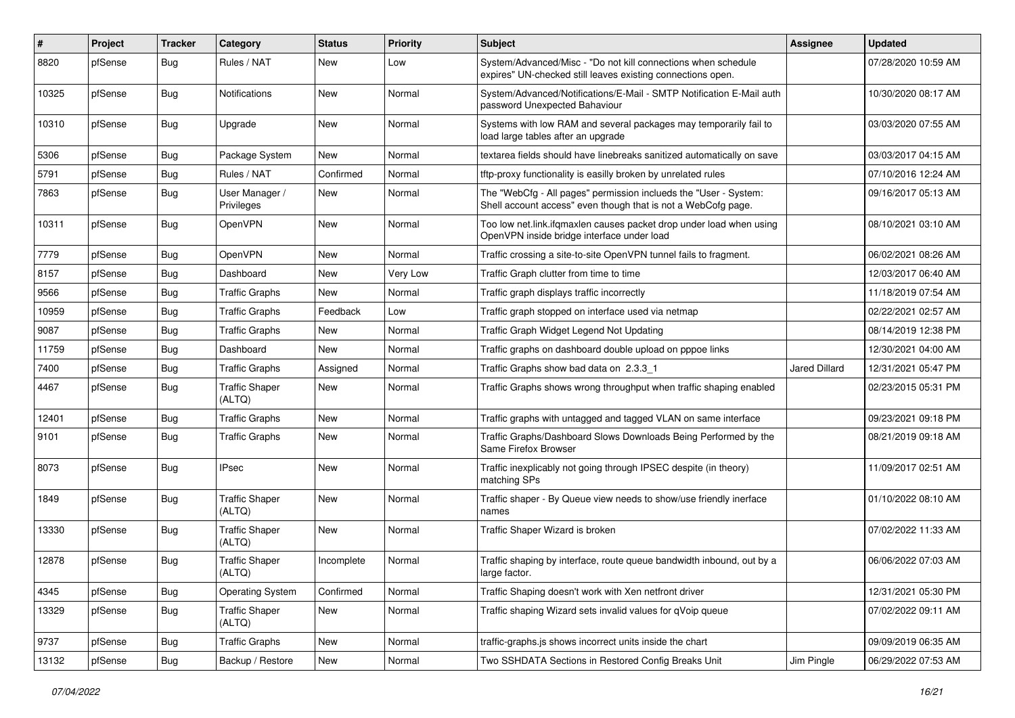| $\#$  | Project | <b>Tracker</b> | Category                        | <b>Status</b> | <b>Priority</b> | <b>Subject</b>                                                                                                                    | <b>Assignee</b>      | <b>Updated</b>      |
|-------|---------|----------------|---------------------------------|---------------|-----------------|-----------------------------------------------------------------------------------------------------------------------------------|----------------------|---------------------|
| 8820  | pfSense | Bug            | Rules / NAT                     | New           | Low             | System/Advanced/Misc - "Do not kill connections when schedule<br>expires" UN-checked still leaves existing connections open.      |                      | 07/28/2020 10:59 AM |
| 10325 | pfSense | Bug            | <b>Notifications</b>            | <b>New</b>    | Normal          | System/Advanced/Notifications/E-Mail - SMTP Notification E-Mail auth<br>password Unexpected Bahaviour                             |                      | 10/30/2020 08:17 AM |
| 10310 | pfSense | <b>Bug</b>     | Upgrade                         | New           | Normal          | Systems with low RAM and several packages may temporarily fail to<br>load large tables after an upgrade                           |                      | 03/03/2020 07:55 AM |
| 5306  | pfSense | <b>Bug</b>     | Package System                  | <b>New</b>    | Normal          | textarea fields should have linebreaks sanitized automatically on save                                                            |                      | 03/03/2017 04:15 AM |
| 5791  | pfSense | Bug            | Rules / NAT                     | Confirmed     | Normal          | tftp-proxy functionality is easilly broken by unrelated rules                                                                     |                      | 07/10/2016 12:24 AM |
| 7863  | pfSense | Bug            | User Manager /<br>Privileges    | New           | Normal          | The "WebCfg - All pages" permission inclueds the "User - System:<br>Shell account access" even though that is not a WebCofg page. |                      | 09/16/2017 05:13 AM |
| 10311 | pfSense | Bug            | OpenVPN                         | <b>New</b>    | Normal          | Too low net.link.ifqmaxlen causes packet drop under load when using<br>OpenVPN inside bridge interface under load                 |                      | 08/10/2021 03:10 AM |
| 7779  | pfSense | <b>Bug</b>     | OpenVPN                         | <b>New</b>    | Normal          | Traffic crossing a site-to-site OpenVPN tunnel fails to fragment.                                                                 |                      | 06/02/2021 08:26 AM |
| 8157  | pfSense | Bug            | Dashboard                       | New           | Very Low        | Traffic Graph clutter from time to time                                                                                           |                      | 12/03/2017 06:40 AM |
| 9566  | pfSense | <b>Bug</b>     | <b>Traffic Graphs</b>           | New           | Normal          | Traffic graph displays traffic incorrectly                                                                                        |                      | 11/18/2019 07:54 AM |
| 10959 | pfSense | Bug            | <b>Traffic Graphs</b>           | Feedback      | Low             | Traffic graph stopped on interface used via netmap                                                                                |                      | 02/22/2021 02:57 AM |
| 9087  | pfSense | <b>Bug</b>     | <b>Traffic Graphs</b>           | New           | Normal          | Traffic Graph Widget Legend Not Updating                                                                                          |                      | 08/14/2019 12:38 PM |
| 11759 | pfSense | <b>Bug</b>     | Dashboard                       | <b>New</b>    | Normal          | Traffic graphs on dashboard double upload on pppoe links                                                                          |                      | 12/30/2021 04:00 AM |
| 7400  | pfSense | Bug            | <b>Traffic Graphs</b>           | Assigned      | Normal          | Traffic Graphs show bad data on 2.3.3 1                                                                                           | <b>Jared Dillard</b> | 12/31/2021 05:47 PM |
| 4467  | pfSense | <b>Bug</b>     | <b>Traffic Shaper</b><br>(ALTQ) | <b>New</b>    | Normal          | Traffic Graphs shows wrong throughput when traffic shaping enabled                                                                |                      | 02/23/2015 05:31 PM |
| 12401 | pfSense | Bug            | <b>Traffic Graphs</b>           | <b>New</b>    | Normal          | Traffic graphs with untagged and tagged VLAN on same interface                                                                    |                      | 09/23/2021 09:18 PM |
| 9101  | pfSense | <b>Bug</b>     | <b>Traffic Graphs</b>           | New           | Normal          | Traffic Graphs/Dashboard Slows Downloads Being Performed by the<br>Same Firefox Browser                                           |                      | 08/21/2019 09:18 AM |
| 8073  | pfSense | <b>Bug</b>     | <b>IPsec</b>                    | <b>New</b>    | Normal          | Traffic inexplicably not going through IPSEC despite (in theory)<br>matching SPs                                                  |                      | 11/09/2017 02:51 AM |
| 1849  | pfSense | Bug            | <b>Traffic Shaper</b><br>(ALTQ) | <b>New</b>    | Normal          | Traffic shaper - By Queue view needs to show/use friendly inerface<br>names                                                       |                      | 01/10/2022 08:10 AM |
| 13330 | pfSense | Bug            | <b>Traffic Shaper</b><br>(ALTQ) | <b>New</b>    | Normal          | Traffic Shaper Wizard is broken                                                                                                   |                      | 07/02/2022 11:33 AM |
| 12878 | pfSense | <b>Bug</b>     | <b>Traffic Shaper</b><br>(ALTQ) | Incomplete    | Normal          | Traffic shaping by interface, route queue bandwidth inbound, out by a<br>large factor.                                            |                      | 06/06/2022 07:03 AM |
| 4345  | pfSense | Bug            | <b>Operating System</b>         | Confirmed     | Normal          | Traffic Shaping doesn't work with Xen netfront driver                                                                             |                      | 12/31/2021 05:30 PM |
| 13329 | pfSense | <b>Bug</b>     | <b>Traffic Shaper</b><br>(ALTQ) | New           | Normal          | Traffic shaping Wizard sets invalid values for qVoip queue                                                                        |                      | 07/02/2022 09:11 AM |
| 9737  | pfSense | Bug            | <b>Traffic Graphs</b>           | New           | Normal          | traffic-graphs.js shows incorrect units inside the chart                                                                          |                      | 09/09/2019 06:35 AM |
| 13132 | pfSense | <b>Bug</b>     | Backup / Restore                | New           | Normal          | Two SSHDATA Sections in Restored Config Breaks Unit                                                                               | Jim Pingle           | 06/29/2022 07:53 AM |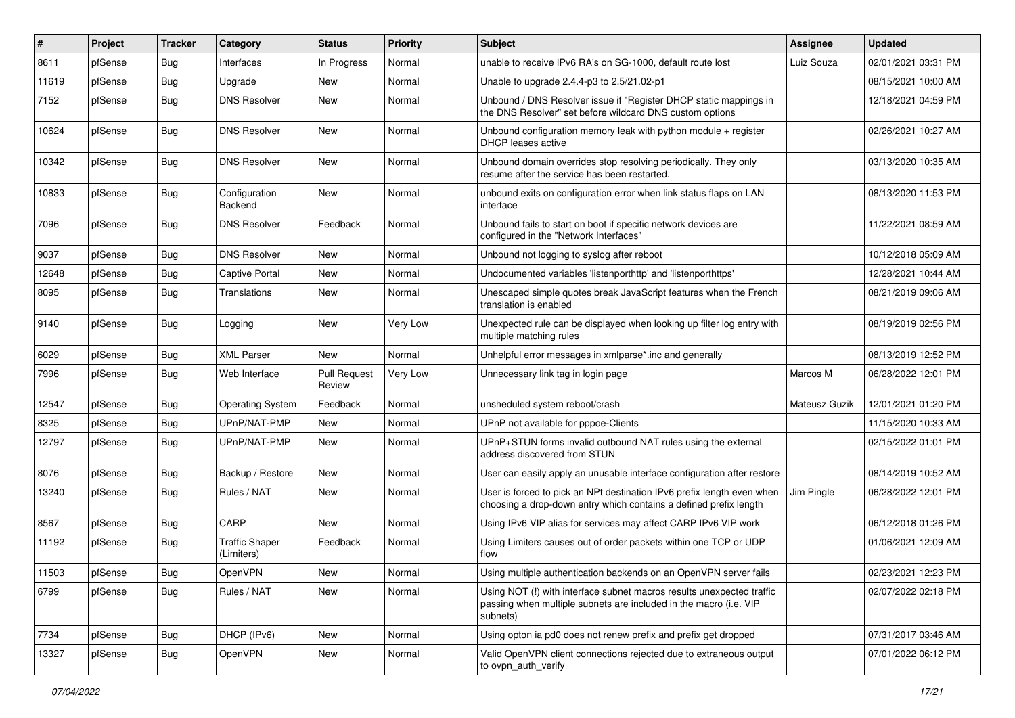| #     | Project | <b>Tracker</b> | Category                            | <b>Status</b>                 | <b>Priority</b> | Subject                                                                                                                                                | <b>Assignee</b> | <b>Updated</b>      |
|-------|---------|----------------|-------------------------------------|-------------------------------|-----------------|--------------------------------------------------------------------------------------------------------------------------------------------------------|-----------------|---------------------|
| 8611  | pfSense | Bug            | Interfaces                          | In Progress                   | Normal          | unable to receive IPv6 RA's on SG-1000, default route lost                                                                                             | Luiz Souza      | 02/01/2021 03:31 PM |
| 11619 | pfSense | Bug            | Upgrade                             | <b>New</b>                    | Normal          | Unable to upgrade 2.4.4-p3 to 2.5/21.02-p1                                                                                                             |                 | 08/15/2021 10:00 AM |
| 7152  | pfSense | <b>Bug</b>     | <b>DNS Resolver</b>                 | New                           | Normal          | Unbound / DNS Resolver issue if "Register DHCP static mappings in<br>the DNS Resolver" set before wildcard DNS custom options                          |                 | 12/18/2021 04:59 PM |
| 10624 | pfSense | Bug            | <b>DNS Resolver</b>                 | <b>New</b>                    | Normal          | Unbound configuration memory leak with python module $+$ register<br>DHCP leases active                                                                |                 | 02/26/2021 10:27 AM |
| 10342 | pfSense | <b>Bug</b>     | <b>DNS Resolver</b>                 | <b>New</b>                    | Normal          | Unbound domain overrides stop resolving periodically. They only<br>resume after the service has been restarted.                                        |                 | 03/13/2020 10:35 AM |
| 10833 | pfSense | Bug            | Configuration<br>Backend            | <b>New</b>                    | Normal          | unbound exits on configuration error when link status flaps on LAN<br>interface                                                                        |                 | 08/13/2020 11:53 PM |
| 7096  | pfSense | <b>Bug</b>     | <b>DNS Resolver</b>                 | Feedback                      | Normal          | Unbound fails to start on boot if specific network devices are<br>configured in the "Network Interfaces"                                               |                 | 11/22/2021 08:59 AM |
| 9037  | pfSense | <b>Bug</b>     | <b>DNS Resolver</b>                 | <b>New</b>                    | Normal          | Unbound not logging to syslog after reboot                                                                                                             |                 | 10/12/2018 05:09 AM |
| 12648 | pfSense | <b>Bug</b>     | <b>Captive Portal</b>               | New                           | Normal          | Undocumented variables 'listenporthttp' and 'listenporthttps'                                                                                          |                 | 12/28/2021 10:44 AM |
| 8095  | pfSense | Bug            | Translations                        | <b>New</b>                    | Normal          | Unescaped simple quotes break JavaScript features when the French<br>translation is enabled                                                            |                 | 08/21/2019 09:06 AM |
| 9140  | pfSense | Bug            | Logging                             | New                           | Very Low        | Unexpected rule can be displayed when looking up filter log entry with<br>multiple matching rules                                                      |                 | 08/19/2019 02:56 PM |
| 6029  | pfSense | <b>Bug</b>     | <b>XML Parser</b>                   | <b>New</b>                    | Normal          | Unhelpful error messages in xmlparse*.inc and generally                                                                                                |                 | 08/13/2019 12:52 PM |
| 7996  | pfSense | Bug            | Web Interface                       | <b>Pull Request</b><br>Review | Very Low        | Unnecessary link tag in login page                                                                                                                     | Marcos M        | 06/28/2022 12:01 PM |
| 12547 | pfSense | Bug            | <b>Operating System</b>             | Feedback                      | Normal          | unsheduled system reboot/crash                                                                                                                         | Mateusz Guzik   | 12/01/2021 01:20 PM |
| 8325  | pfSense | <b>Bug</b>     | UPnP/NAT-PMP                        | <b>New</b>                    | Normal          | UPnP not available for pppoe-Clients                                                                                                                   |                 | 11/15/2020 10:33 AM |
| 12797 | pfSense | Bug            | UPnP/NAT-PMP                        | <b>New</b>                    | Normal          | UPnP+STUN forms invalid outbound NAT rules using the external<br>address discovered from STUN                                                          |                 | 02/15/2022 01:01 PM |
| 8076  | pfSense | Bug            | Backup / Restore                    | <b>New</b>                    | Normal          | User can easily apply an unusable interface configuration after restore                                                                                |                 | 08/14/2019 10:52 AM |
| 13240 | pfSense | Bug            | Rules / NAT                         | <b>New</b>                    | Normal          | User is forced to pick an NPt destination IPv6 prefix length even when<br>choosing a drop-down entry which contains a defined prefix length            | Jim Pingle      | 06/28/2022 12:01 PM |
| 8567  | pfSense | <b>Bug</b>     | CARP                                | <b>New</b>                    | Normal          | Using IPv6 VIP alias for services may affect CARP IPv6 VIP work                                                                                        |                 | 06/12/2018 01:26 PM |
| 11192 | pfSense | Bug            | <b>Traffic Shaper</b><br>(Limiters) | Feedback                      | Normal          | Using Limiters causes out of order packets within one TCP or UDP<br>flow                                                                               |                 | 01/06/2021 12:09 AM |
| 11503 | pfSense | Bug            | OpenVPN                             | New                           | Normal          | Using multiple authentication backends on an OpenVPN server fails                                                                                      |                 | 02/23/2021 12:23 PM |
| 6799  | pfSense | Bug            | Rules / NAT                         | New                           | Normal          | Using NOT (!) with interface subnet macros results unexpected traffic<br>passing when multiple subnets are included in the macro (i.e. VIP<br>subnets) |                 | 02/07/2022 02:18 PM |
| 7734  | pfSense | Bug            | DHCP (IPv6)                         | New                           | Normal          | Using opton ia pd0 does not renew prefix and prefix get dropped                                                                                        |                 | 07/31/2017 03:46 AM |
| 13327 | pfSense | <b>Bug</b>     | OpenVPN                             | New                           | Normal          | Valid OpenVPN client connections rejected due to extraneous output<br>to ovpn_auth_verify                                                              |                 | 07/01/2022 06:12 PM |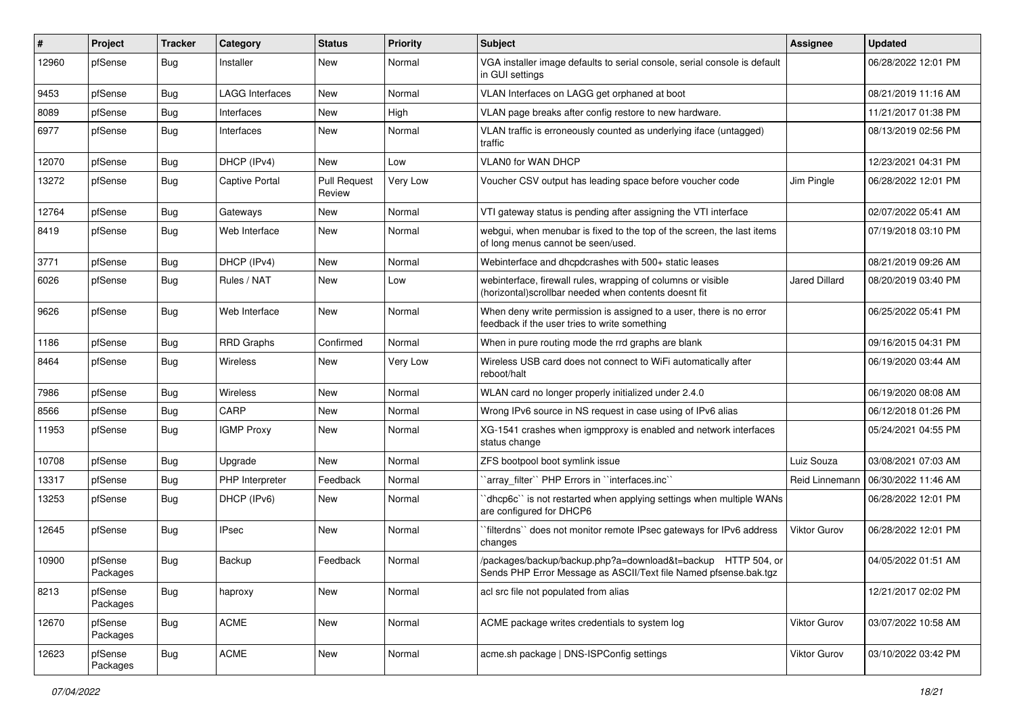| #     | Project             | <b>Tracker</b> | Category               | <b>Status</b>                 | <b>Priority</b> | <b>Subject</b>                                                                                                                   | <b>Assignee</b> | <b>Updated</b>      |
|-------|---------------------|----------------|------------------------|-------------------------------|-----------------|----------------------------------------------------------------------------------------------------------------------------------|-----------------|---------------------|
| 12960 | pfSense             | Bug            | Installer              | New                           | Normal          | VGA installer image defaults to serial console, serial console is default<br>in GUI settings                                     |                 | 06/28/2022 12:01 PM |
| 9453  | pfSense             | Bug            | <b>LAGG Interfaces</b> | New                           | Normal          | VLAN Interfaces on LAGG get orphaned at boot                                                                                     |                 | 08/21/2019 11:16 AM |
| 8089  | pfSense             | <b>Bug</b>     | Interfaces             | <b>New</b>                    | High            | VLAN page breaks after config restore to new hardware.                                                                           |                 | 11/21/2017 01:38 PM |
| 6977  | pfSense             | Bug            | Interfaces             | New                           | Normal          | VLAN traffic is erroneously counted as underlying iface (untagged)<br>traffic                                                    |                 | 08/13/2019 02:56 PM |
| 12070 | pfSense             | Bug            | DHCP (IPv4)            | <b>New</b>                    | Low             | VLAN0 for WAN DHCP                                                                                                               |                 | 12/23/2021 04:31 PM |
| 13272 | pfSense             | <b>Bug</b>     | <b>Captive Portal</b>  | <b>Pull Request</b><br>Review | Very Low        | Voucher CSV output has leading space before voucher code                                                                         | Jim Pingle      | 06/28/2022 12:01 PM |
| 12764 | pfSense             | Bug            | Gateways               | <b>New</b>                    | Normal          | VTI gateway status is pending after assigning the VTI interface                                                                  |                 | 02/07/2022 05:41 AM |
| 8419  | pfSense             | Bug            | Web Interface          | New                           | Normal          | webgui, when menubar is fixed to the top of the screen, the last items<br>of long menus cannot be seen/used.                     |                 | 07/19/2018 03:10 PM |
| 3771  | pfSense             | Bug            | DHCP (IPv4)            | <b>New</b>                    | Normal          | Webinterface and dhcpdcrashes with 500+ static leases                                                                            |                 | 08/21/2019 09:26 AM |
| 6026  | pfSense             | <b>Bug</b>     | Rules / NAT            | <b>New</b>                    | Low             | webinterface, firewall rules, wrapping of columns or visible<br>(horizontal)scrollbar needed when contents doesnt fit            | Jared Dillard   | 08/20/2019 03:40 PM |
| 9626  | pfSense             | Bug            | Web Interface          | <b>New</b>                    | Normal          | When deny write permission is assigned to a user, there is no error<br>feedback if the user tries to write something             |                 | 06/25/2022 05:41 PM |
| 1186  | pfSense             | <b>Bug</b>     | <b>RRD Graphs</b>      | Confirmed                     | Normal          | When in pure routing mode the rrd graphs are blank                                                                               |                 | 09/16/2015 04:31 PM |
| 8464  | pfSense             | <b>Bug</b>     | Wireless               | New                           | Very Low        | Wireless USB card does not connect to WiFi automatically after<br>reboot/halt                                                    |                 | 06/19/2020 03:44 AM |
| 7986  | pfSense             | Bug            | Wireless               | <b>New</b>                    | Normal          | WLAN card no longer properly initialized under 2.4.0                                                                             |                 | 06/19/2020 08:08 AM |
| 8566  | pfSense             | <b>Bug</b>     | CARP                   | New                           | Normal          | Wrong IPv6 source in NS request in case using of IPv6 alias                                                                      |                 | 06/12/2018 01:26 PM |
| 11953 | pfSense             | <b>Bug</b>     | <b>IGMP Proxy</b>      | <b>New</b>                    | Normal          | XG-1541 crashes when igmpproxy is enabled and network interfaces<br>status change                                                |                 | 05/24/2021 04:55 PM |
| 10708 | pfSense             | Bug            | Upgrade                | <b>New</b>                    | Normal          | ZFS bootpool boot symlink issue                                                                                                  | Luiz Souza      | 03/08/2021 07:03 AM |
| 13317 | pfSense             | Bug            | PHP Interpreter        | Feedback                      | Normal          | `array_filter`` PHP Errors in ``interfaces.inc``                                                                                 | Reid Linnemann  | 06/30/2022 11:46 AM |
| 13253 | pfSense             | Bug            | DHCP (IPv6)            | <b>New</b>                    | Normal          | 'dhcp6c'' is not restarted when applying settings when multiple WANs<br>are configured for DHCP6                                 |                 | 06/28/2022 12:01 PM |
| 12645 | pfSense             | <b>Bug</b>     | <b>IPsec</b>           | <b>New</b>                    | Normal          | filterdns" does not monitor remote IPsec gateways for IPv6 address<br>changes                                                    | Viktor Gurov    | 06/28/2022 12:01 PM |
| 10900 | pfSense<br>Packages | <b>Bug</b>     | Backup                 | Feedback                      | Normal          | /packages/backup/backup.php?a=download&t=backup HTTP 504, or<br>Sends PHP Error Message as ASCII/Text file Named pfsense.bak.tgz |                 | 04/05/2022 01:51 AM |
| 8213  | pfSense<br>Packages | Bug            | haproxy                | New                           | Normal          | acl src file not populated from alias                                                                                            |                 | 12/21/2017 02:02 PM |
| 12670 | pfSense<br>Packages | <b>Bug</b>     | ACME                   | New                           | Normal          | ACME package writes credentials to system log                                                                                    | Viktor Gurov    | 03/07/2022 10:58 AM |
| 12623 | pfSense<br>Packages | <b>Bug</b>     | ACME                   | New                           | Normal          | acme.sh package   DNS-ISPConfig settings                                                                                         | Viktor Gurov    | 03/10/2022 03:42 PM |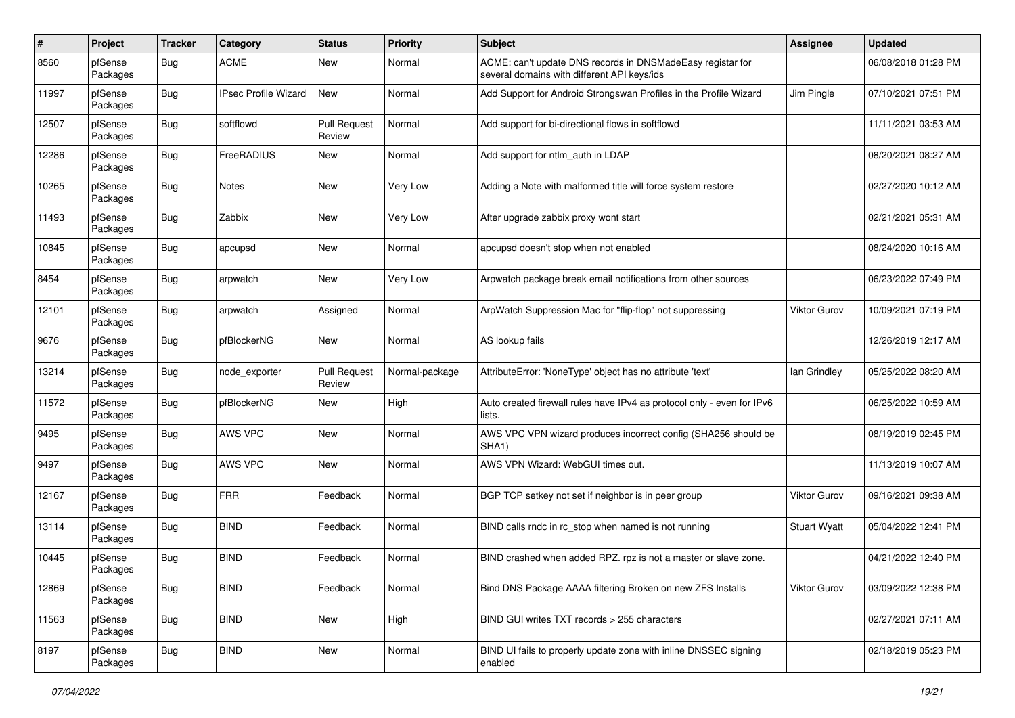| #     | Project             | <b>Tracker</b> | Category                    | <b>Status</b>                 | <b>Priority</b> | <b>Subject</b>                                                                                            | <b>Assignee</b>     | <b>Updated</b>      |
|-------|---------------------|----------------|-----------------------------|-------------------------------|-----------------|-----------------------------------------------------------------------------------------------------------|---------------------|---------------------|
| 8560  | pfSense<br>Packages | Bug            | <b>ACME</b>                 | New                           | Normal          | ACME: can't update DNS records in DNSMadeEasy registar for<br>several domains with different API keys/ids |                     | 06/08/2018 01:28 PM |
| 11997 | pfSense<br>Packages | Bug            | <b>IPsec Profile Wizard</b> | New                           | Normal          | Add Support for Android Strongswan Profiles in the Profile Wizard                                         | Jim Pingle          | 07/10/2021 07:51 PM |
| 12507 | pfSense<br>Packages | Bug            | softflowd                   | <b>Pull Request</b><br>Review | Normal          | Add support for bi-directional flows in softflowd                                                         |                     | 11/11/2021 03:53 AM |
| 12286 | pfSense<br>Packages | <b>Bug</b>     | FreeRADIUS                  | <b>New</b>                    | Normal          | Add support for ntlm_auth in LDAP                                                                         |                     | 08/20/2021 08:27 AM |
| 10265 | pfSense<br>Packages | <b>Bug</b>     | <b>Notes</b>                | <b>New</b>                    | Very Low        | Adding a Note with malformed title will force system restore                                              |                     | 02/27/2020 10:12 AM |
| 11493 | pfSense<br>Packages | <b>Bug</b>     | Zabbix                      | <b>New</b>                    | Very Low        | After upgrade zabbix proxy wont start                                                                     |                     | 02/21/2021 05:31 AM |
| 10845 | pfSense<br>Packages | Bug            | apcupsd                     | <b>New</b>                    | Normal          | apcupsd doesn't stop when not enabled                                                                     |                     | 08/24/2020 10:16 AM |
| 8454  | pfSense<br>Packages | <b>Bug</b>     | arpwatch                    | <b>New</b>                    | Very Low        | Arpwatch package break email notifications from other sources                                             |                     | 06/23/2022 07:49 PM |
| 12101 | pfSense<br>Packages | <b>Bug</b>     | arpwatch                    | Assigned                      | Normal          | ArpWatch Suppression Mac for "flip-flop" not suppressing                                                  | Viktor Gurov        | 10/09/2021 07:19 PM |
| 9676  | pfSense<br>Packages | <b>Bug</b>     | pfBlockerNG                 | <b>New</b>                    | Normal          | AS lookup fails                                                                                           |                     | 12/26/2019 12:17 AM |
| 13214 | pfSense<br>Packages | Bug            | node exporter               | <b>Pull Request</b><br>Review | Normal-package  | AttributeError: 'NoneType' object has no attribute 'text'                                                 | lan Grindley        | 05/25/2022 08:20 AM |
| 11572 | pfSense<br>Packages | <b>Bug</b>     | pfBlockerNG                 | <b>New</b>                    | High            | Auto created firewall rules have IPv4 as protocol only - even for IPv6<br>lists.                          |                     | 06/25/2022 10:59 AM |
| 9495  | pfSense<br>Packages | <b>Bug</b>     | AWS VPC                     | <b>New</b>                    | Normal          | AWS VPC VPN wizard produces incorrect config (SHA256 should be<br>SHA <sub>1</sub> )                      |                     | 08/19/2019 02:45 PM |
| 9497  | pfSense<br>Packages | <b>Bug</b>     | AWS VPC                     | <b>New</b>                    | Normal          | AWS VPN Wizard: WebGUI times out.                                                                         |                     | 11/13/2019 10:07 AM |
| 12167 | pfSense<br>Packages | Bug            | <b>FRR</b>                  | Feedback                      | Normal          | BGP TCP setkey not set if neighbor is in peer group                                                       | <b>Viktor Gurov</b> | 09/16/2021 09:38 AM |
| 13114 | pfSense<br>Packages | <b>Bug</b>     | <b>BIND</b>                 | Feedback                      | Normal          | BIND calls rndc in rc_stop when named is not running                                                      | <b>Stuart Wyatt</b> | 05/04/2022 12:41 PM |
| 10445 | pfSense<br>Packages | Bug            | <b>BIND</b>                 | Feedback                      | Normal          | BIND crashed when added RPZ. rpz is not a master or slave zone.                                           |                     | 04/21/2022 12:40 PM |
| 12869 | pfSense<br>Packages | <b>Bug</b>     | <b>BIND</b>                 | Feedback                      | Normal          | Bind DNS Package AAAA filtering Broken on new ZFS Installs                                                | <b>Viktor Gurov</b> | 03/09/2022 12:38 PM |
| 11563 | pfSense<br>Packages | <b>Bug</b>     | <b>BIND</b>                 | New                           | High            | BIND GUI writes TXT records > 255 characters                                                              |                     | 02/27/2021 07:11 AM |
| 8197  | pfSense<br>Packages | <b>Bug</b>     | <b>BIND</b>                 | New                           | Normal          | BIND UI fails to properly update zone with inline DNSSEC signing<br>enabled                               |                     | 02/18/2019 05:23 PM |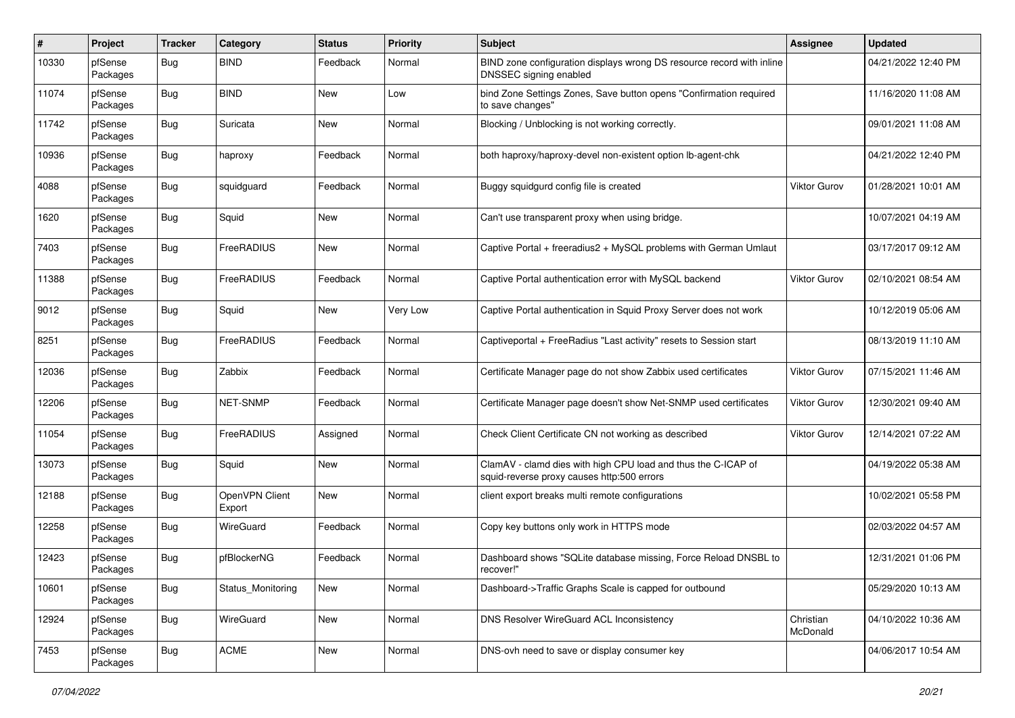| $\pmb{\#}$ | Project             | <b>Tracker</b> | Category                 | <b>Status</b> | <b>Priority</b> | <b>Subject</b>                                                                                              | <b>Assignee</b>       | <b>Updated</b>      |
|------------|---------------------|----------------|--------------------------|---------------|-----------------|-------------------------------------------------------------------------------------------------------------|-----------------------|---------------------|
| 10330      | pfSense<br>Packages | Bug            | <b>BIND</b>              | Feedback      | Normal          | BIND zone configuration displays wrong DS resource record with inline<br>DNSSEC signing enabled             |                       | 04/21/2022 12:40 PM |
| 11074      | pfSense<br>Packages | <b>Bug</b>     | <b>BIND</b>              | <b>New</b>    | Low             | bind Zone Settings Zones, Save button opens "Confirmation required<br>to save changes"                      |                       | 11/16/2020 11:08 AM |
| 11742      | pfSense<br>Packages | <b>Bug</b>     | Suricata                 | <b>New</b>    | Normal          | Blocking / Unblocking is not working correctly.                                                             |                       | 09/01/2021 11:08 AM |
| 10936      | pfSense<br>Packages | <b>Bug</b>     | haproxy                  | Feedback      | Normal          | both haproxy/haproxy-devel non-existent option lb-agent-chk                                                 |                       | 04/21/2022 12:40 PM |
| 4088       | pfSense<br>Packages | <b>Bug</b>     | squidguard               | Feedback      | Normal          | Buggy squidgurd config file is created                                                                      | <b>Viktor Gurov</b>   | 01/28/2021 10:01 AM |
| 1620       | pfSense<br>Packages | <b>Bug</b>     | Squid                    | <b>New</b>    | Normal          | Can't use transparent proxy when using bridge.                                                              |                       | 10/07/2021 04:19 AM |
| 7403       | pfSense<br>Packages | Bug            | FreeRADIUS               | <b>New</b>    | Normal          | Captive Portal + freeradius2 + MySQL problems with German Umlaut                                            |                       | 03/17/2017 09:12 AM |
| 11388      | pfSense<br>Packages | <b>Bug</b>     | FreeRADIUS               | Feedback      | Normal          | Captive Portal authentication error with MySQL backend                                                      | Viktor Gurov          | 02/10/2021 08:54 AM |
| 9012       | pfSense<br>Packages | <b>Bug</b>     | Squid                    | <b>New</b>    | Very Low        | Captive Portal authentication in Squid Proxy Server does not work                                           |                       | 10/12/2019 05:06 AM |
| 8251       | pfSense<br>Packages | <b>Bug</b>     | FreeRADIUS               | Feedback      | Normal          | Captiveportal + FreeRadius "Last activity" resets to Session start                                          |                       | 08/13/2019 11:10 AM |
| 12036      | pfSense<br>Packages | Bug            | Zabbix                   | Feedback      | Normal          | Certificate Manager page do not show Zabbix used certificates                                               | <b>Viktor Gurov</b>   | 07/15/2021 11:46 AM |
| 12206      | pfSense<br>Packages | <b>Bug</b>     | NET-SNMP                 | Feedback      | Normal          | Certificate Manager page doesn't show Net-SNMP used certificates                                            | <b>Viktor Gurov</b>   | 12/30/2021 09:40 AM |
| 11054      | pfSense<br>Packages | <b>Bug</b>     | FreeRADIUS               | Assigned      | Normal          | Check Client Certificate CN not working as described                                                        | <b>Viktor Gurov</b>   | 12/14/2021 07:22 AM |
| 13073      | pfSense<br>Packages | <b>Bug</b>     | Squid                    | <b>New</b>    | Normal          | ClamAV - clamd dies with high CPU load and thus the C-ICAP of<br>squid-reverse proxy causes http:500 errors |                       | 04/19/2022 05:38 AM |
| 12188      | pfSense<br>Packages | <b>Bug</b>     | OpenVPN Client<br>Export | <b>New</b>    | Normal          | client export breaks multi remote configurations                                                            |                       | 10/02/2021 05:58 PM |
| 12258      | pfSense<br>Packages | <b>Bug</b>     | WireGuard                | Feedback      | Normal          | Copy key buttons only work in HTTPS mode                                                                    |                       | 02/03/2022 04:57 AM |
| 12423      | pfSense<br>Packages | <b>Bug</b>     | pfBlockerNG              | Feedback      | Normal          | Dashboard shows "SQLite database missing, Force Reload DNSBL to<br>recover!"                                |                       | 12/31/2021 01:06 PM |
| 10601      | pfSense<br>Packages | Bug            | Status Monitoring        | New           | Normal          | Dashboard->Traffic Graphs Scale is capped for outbound                                                      |                       | 05/29/2020 10:13 AM |
| 12924      | pfSense<br>Packages | <b>Bug</b>     | WireGuard                | New           | Normal          | DNS Resolver WireGuard ACL Inconsistency                                                                    | Christian<br>McDonald | 04/10/2022 10:36 AM |
| 7453       | pfSense<br>Packages | <b>Bug</b>     | ACME                     | New           | Normal          | DNS-ovh need to save or display consumer key                                                                |                       | 04/06/2017 10:54 AM |